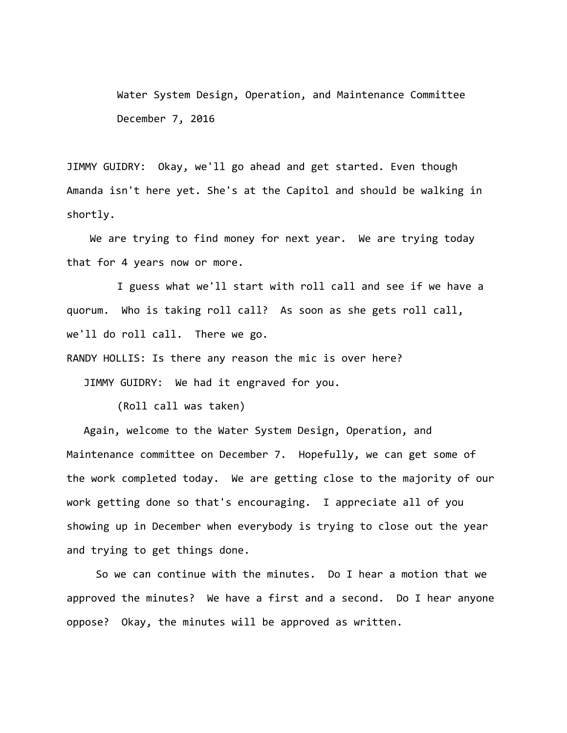Water System Design, Operation, and Maintenance Committee December 7, 2016

JIMMY GUIDRY: Okay, we'll go ahead and get started. Even though Amanda isn't here yet. She's at the Capitol and should be walking in shortly.

We are trying to find money for next year. We are trying today that for 4 years now or more.

I guess what we'll start with roll call and see if we have a quorum. Who is taking roll call? As soon as she gets roll call, we'll do roll call. There we go.

RANDY HOLLIS: Is there any reason the mic is over here?

JIMMY GUIDRY: We had it engraved for you.

(Roll call was taken)

Again, welcome to the Water System Design, Operation, and Maintenance committee on December 7. Hopefully, we can get some of the work completed today. We are getting close to the majority of our work getting done so that's encouraging. I appreciate all of you showing up in December when everybody is trying to close out the year and trying to get things done.

 So we can continue with the minutes. Do I hear a motion that we approved the minutes? We have a first and a second. Do I hear anyone oppose? Okay, the minutes will be approved as written.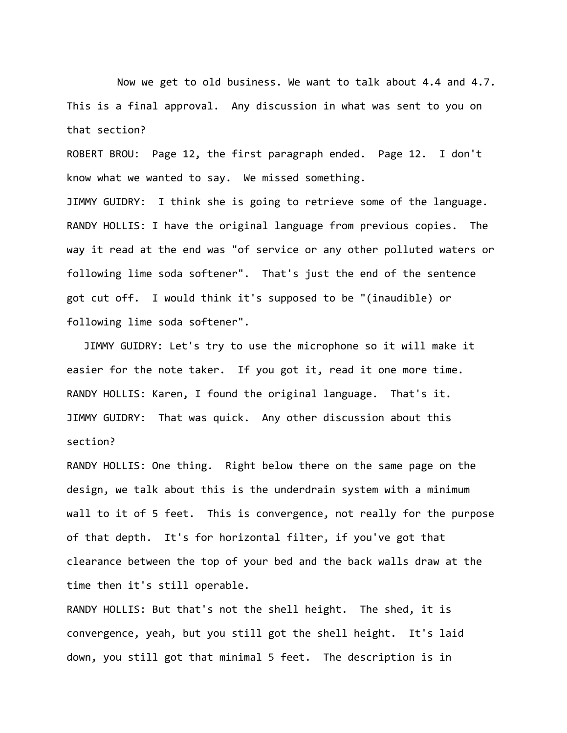Now we get to old business. We want to talk about 4.4 and 4.7. This is a final approval. Any discussion in what was sent to you on that section?

ROBERT BROU: Page 12, the first paragraph ended. Page 12. I don't know what we wanted to say. We missed something. JIMMY GUIDRY: I think she is going to retrieve some of the language. RANDY HOLLIS: I have the original language from previous copies. The way it read at the end was "of service or any other polluted waters or following lime soda softener". That's just the end of the sentence got cut off. I would think it's supposed to be "(inaudible) or following lime soda softener".

JIMMY GUIDRY: Let's try to use the microphone so it will make it easier for the note taker. If you got it, read it one more time. RANDY HOLLIS: Karen, I found the original language. That's it. JIMMY GUIDRY: That was quick. Any other discussion about this section?

RANDY HOLLIS: One thing. Right below there on the same page on the design, we talk about this is the underdrain system with a minimum wall to it of 5 feet. This is convergence, not really for the purpose of that depth. It's for horizontal filter, if you've got that clearance between the top of your bed and the back walls draw at the time then it's still operable.

RANDY HOLLIS: But that's not the shell height. The shed, it is convergence, yeah, but you still got the shell height. It's laid down, you still got that minimal 5 feet. The description is in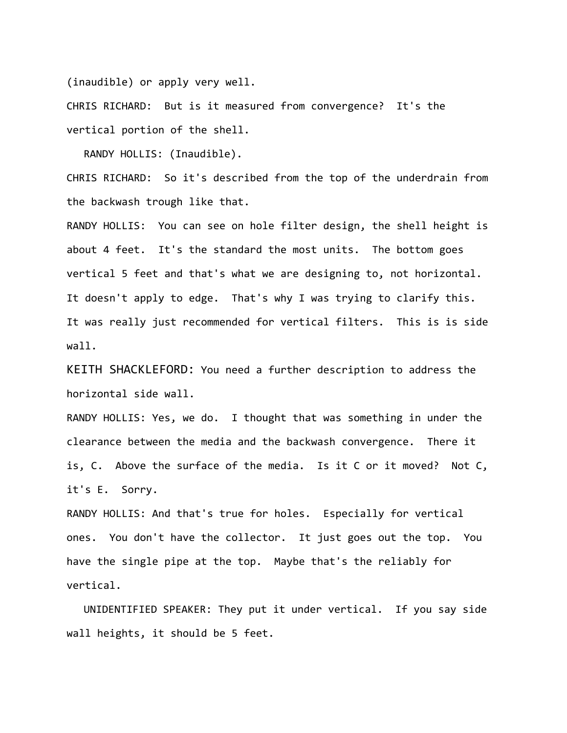(inaudible) or apply very well.

CHRIS RICHARD: But is it measured from convergence? It's the vertical portion of the shell.

RANDY HOLLIS: (Inaudible).

CHRIS RICHARD: So it's described from the top of the underdrain from the backwash trough like that.

RANDY HOLLIS: You can see on hole filter design, the shell height is about 4 feet. It's the standard the most units. The bottom goes vertical 5 feet and that's what we are designing to, not horizontal. It doesn't apply to edge. That's why I was trying to clarify this. It was really just recommended for vertical filters. This is is side wall.

KEITH SHACKLEFORD: You need a further description to address the horizontal side wall.

RANDY HOLLIS: Yes, we do. I thought that was something in under the clearance between the media and the backwash convergence. There it is, C. Above the surface of the media. Is it C or it moved? Not C, it's E. Sorry.

RANDY HOLLIS: And that's true for holes. Especially for vertical ones. You don't have the collector. It just goes out the top. You have the single pipe at the top. Maybe that's the reliably for vertical.

UNIDENTIFIED SPEAKER: They put it under vertical. If you say side wall heights, it should be 5 feet.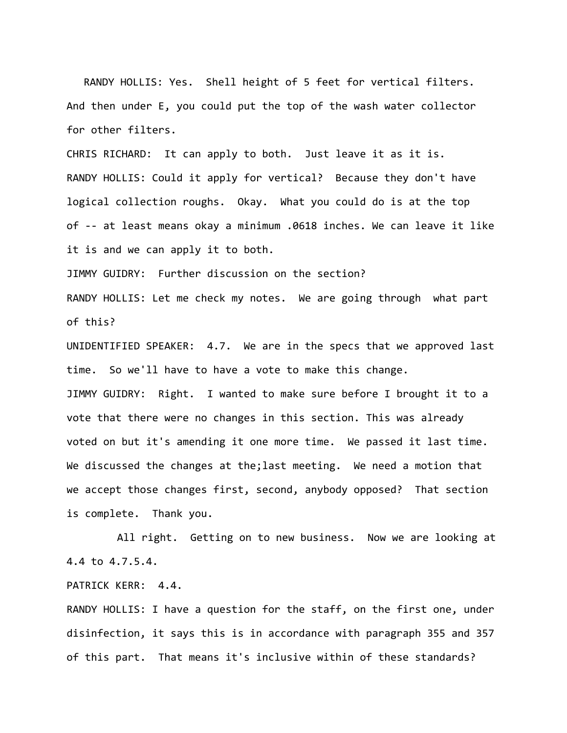RANDY HOLLIS: Yes. Shell height of 5 feet for vertical filters. And then under E, you could put the top of the wash water collector for other filters.

CHRIS RICHARD: It can apply to both. Just leave it as it is. RANDY HOLLIS: Could it apply for vertical? Because they don't have logical collection roughs. Okay. What you could do is at the top of ‐‐ at least means okay a minimum .0618 inches. We can leave it like it is and we can apply it to both.

JIMMY GUIDRY: Further discussion on the section? RANDY HOLLIS: Let me check my notes. We are going through what part of this?

UNIDENTIFIED SPEAKER: 4.7. We are in the specs that we approved last time. So we'll have to have a vote to make this change. JIMMY GUIDRY: Right. I wanted to make sure before I brought it to a vote that there were no changes in this section. This was already voted on but it's amending it one more time. We passed it last time. We discussed the changes at the;last meeting. We need a motion that we accept those changes first, second, anybody opposed? That section is complete. Thank you.

All right. Getting on to new business. Now we are looking at 4.4 to 4.7.5.4.

PATRICK KERR: 4.4.

RANDY HOLLIS: I have a question for the staff, on the first one, under disinfection, it says this is in accordance with paragraph 355 and 357 of this part. That means it's inclusive within of these standards?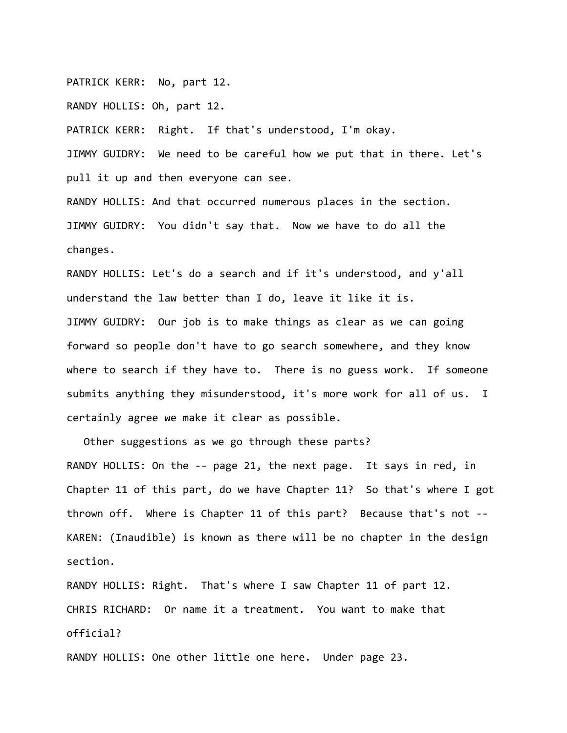PATRICK KERR: No, part 12.

RANDY HOLLIS: Oh, part 12.

PATRICK KERR: Right. If that's understood, I'm okay.

JIMMY GUIDRY: We need to be careful how we put that in there. Let's pull it up and then everyone can see.

RANDY HOLLIS: And that occurred numerous places in the section. JIMMY GUIDRY: You didn't say that. Now we have to do all the changes.

RANDY HOLLIS: Let's do a search and if it's understood, and y'all understand the law better than I do, leave it like it is. JIMMY GUIDRY: Our job is to make things as clear as we can going forward so people don't have to go search somewhere, and they know where to search if they have to. There is no guess work. If someone submits anything they misunderstood, it's more work for all of us. I certainly agree we make it clear as possible.

Other suggestions as we go through these parts? RANDY HOLLIS: On the -- page 21, the next page. It says in red, in Chapter 11 of this part, do we have Chapter 11? So that's where I got thrown off. Where is Chapter 11 of this part? Because that's not ‐‐ KAREN: (Inaudible) is known as there will be no chapter in the design section.

RANDY HOLLIS: Right. That's where I saw Chapter 11 of part 12. CHRIS RICHARD: Or name it a treatment. You want to make that official?

RANDY HOLLIS: One other little one here. Under page 23.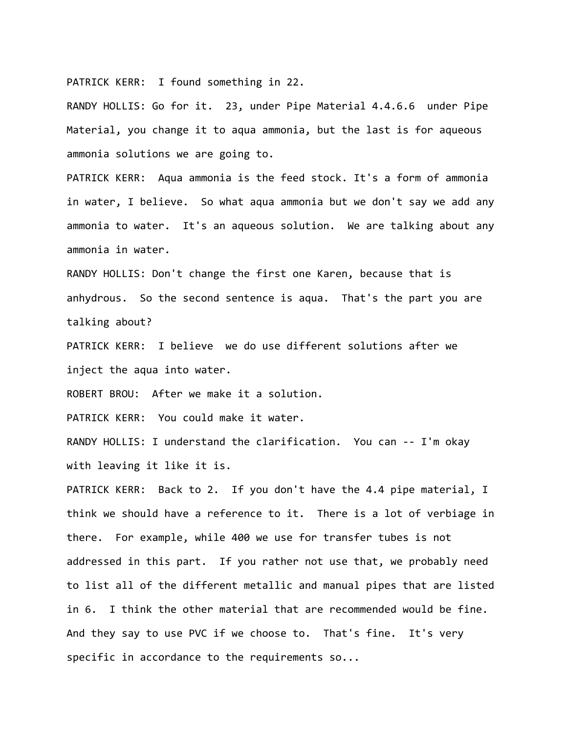PATRICK KERR: I found something in 22.

RANDY HOLLIS: Go for it. 23, under Pipe Material 4.4.6.6 under Pipe Material, you change it to aqua ammonia, but the last is for aqueous ammonia solutions we are going to.

PATRICK KERR: Aqua ammonia is the feed stock. It's a form of ammonia in water, I believe. So what aqua ammonia but we don't say we add any ammonia to water. It's an aqueous solution. We are talking about any ammonia in water.

RANDY HOLLIS: Don't change the first one Karen, because that is anhydrous. So the second sentence is aqua. That's the part you are talking about?

PATRICK KERR: I believe we do use different solutions after we inject the aqua into water.

ROBERT BROU: After we make it a solution.

PATRICK KERR: You could make it water.

RANDY HOLLIS: I understand the clarification. You can -- I'm okay with leaving it like it is.

PATRICK KERR: Back to 2. If you don't have the 4.4 pipe material, I think we should have a reference to it. There is a lot of verbiage in there. For example, while 400 we use for transfer tubes is not addressed in this part. If you rather not use that, we probably need to list all of the different metallic and manual pipes that are listed in 6. I think the other material that are recommended would be fine. And they say to use PVC if we choose to. That's fine. It's very specific in accordance to the requirements so...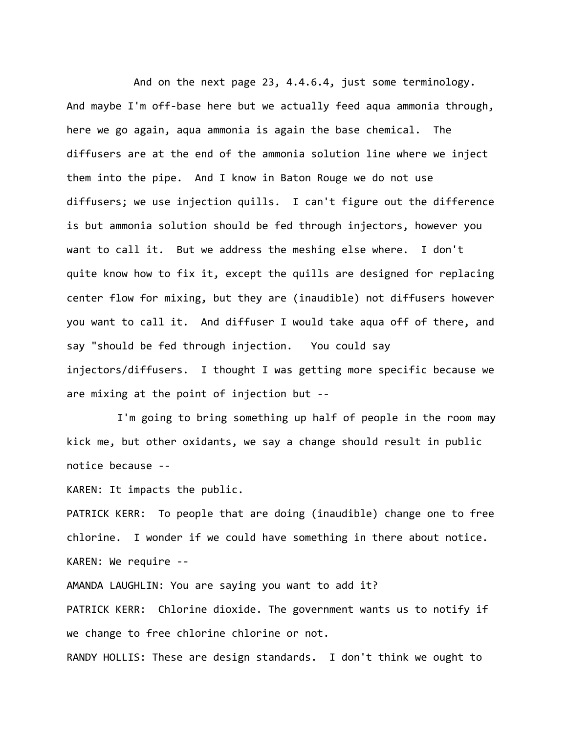And on the next page 23, 4.4.6.4, just some terminology. And maybe I'm off-base here but we actually feed aqua ammonia through, here we go again, aqua ammonia is again the base chemical. The diffusers are at the end of the ammonia solution line where we inject them into the pipe. And I know in Baton Rouge we do not use diffusers; we use injection quills. I can't figure out the difference is but ammonia solution should be fed through injectors, however you want to call it. But we address the meshing else where. I don't quite know how to fix it, except the quills are designed for replacing center flow for mixing, but they are (inaudible) not diffusers however you want to call it. And diffuser I would take aqua off of there, and say "should be fed through injection. You could say injectors/diffusers. I thought I was getting more specific because we are mixing at the point of injection but ‐‐

I'm going to bring something up half of people in the room may kick me, but other oxidants, we say a change should result in public notice because ‐‐

KAREN: It impacts the public.

PATRICK KERR: To people that are doing (inaudible) change one to free chlorine. I wonder if we could have something in there about notice. KAREN: We require ‐‐

AMANDA LAUGHLIN: You are saying you want to add it?

PATRICK KERR: Chlorine dioxide. The government wants us to notify if we change to free chlorine chlorine or not.

RANDY HOLLIS: These are design standards. I don't think we ought to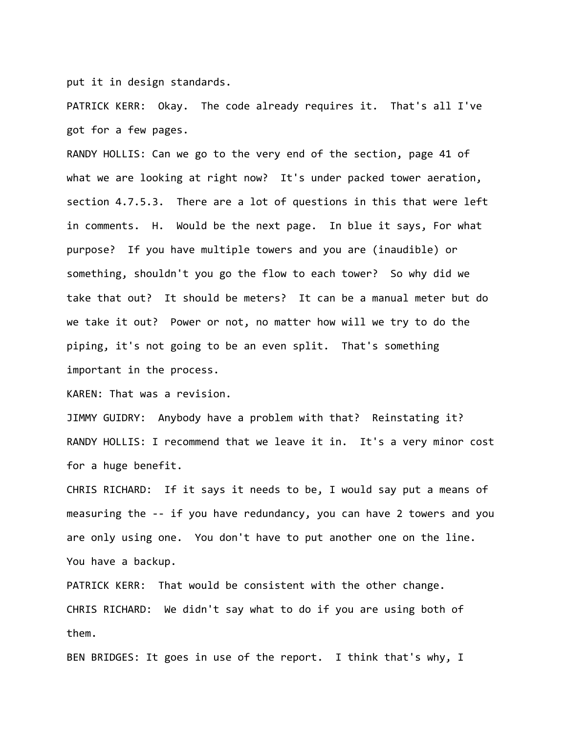put it in design standards.

PATRICK KERR: Okay. The code already requires it. That's all I've got for a few pages.

RANDY HOLLIS: Can we go to the very end of the section, page 41 of what we are looking at right now? It's under packed tower aeration, section 4.7.5.3. There are a lot of questions in this that were left in comments. H. Would be the next page. In blue it says, For what purpose? If you have multiple towers and you are (inaudible) or something, shouldn't you go the flow to each tower? So why did we take that out? It should be meters? It can be a manual meter but do we take it out? Power or not, no matter how will we try to do the piping, it's not going to be an even split. That's something important in the process.

KAREN: That was a revision.

JIMMY GUIDRY: Anybody have a problem with that? Reinstating it? RANDY HOLLIS: I recommend that we leave it in. It's a very minor cost for a huge benefit.

CHRIS RICHARD: If it says it needs to be, I would say put a means of measuring the ‐‐ if you have redundancy, you can have 2 towers and you are only using one. You don't have to put another one on the line. You have a backup.

PATRICK KERR: That would be consistent with the other change. CHRIS RICHARD: We didn't say what to do if you are using both of them.

BEN BRIDGES: It goes in use of the report. I think that's why, I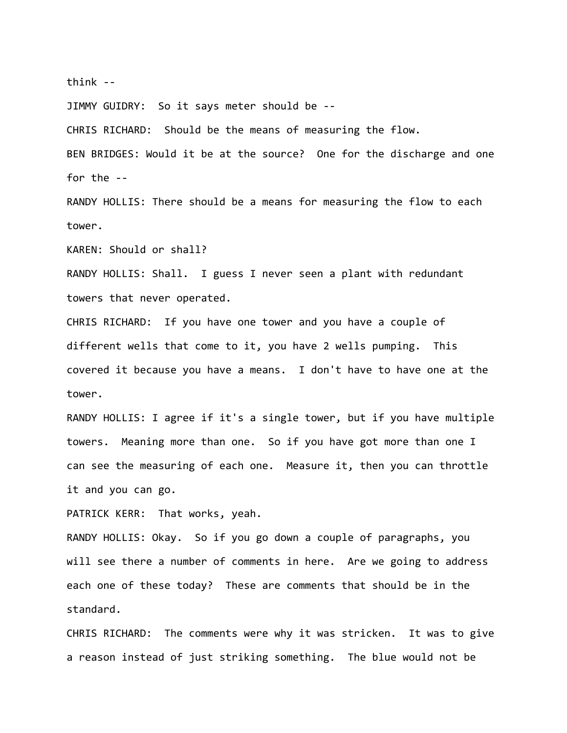think ‐‐

JIMMY GUIDRY: So it says meter should be ‐‐

CHRIS RICHARD: Should be the means of measuring the flow.

BEN BRIDGES: Would it be at the source? One for the discharge and one for the ‐‐

RANDY HOLLIS: There should be a means for measuring the flow to each tower.

KAREN: Should or shall?

RANDY HOLLIS: Shall. I guess I never seen a plant with redundant towers that never operated.

CHRIS RICHARD: If you have one tower and you have a couple of different wells that come to it, you have 2 wells pumping. This covered it because you have a means. I don't have to have one at the tower.

RANDY HOLLIS: I agree if it's a single tower, but if you have multiple towers. Meaning more than one. So if you have got more than one I can see the measuring of each one. Measure it, then you can throttle it and you can go.

PATRICK KERR: That works, yeah.

RANDY HOLLIS: Okay. So if you go down a couple of paragraphs, you will see there a number of comments in here. Are we going to address each one of these today? These are comments that should be in the standard.

CHRIS RICHARD: The comments were why it was stricken. It was to give a reason instead of just striking something. The blue would not be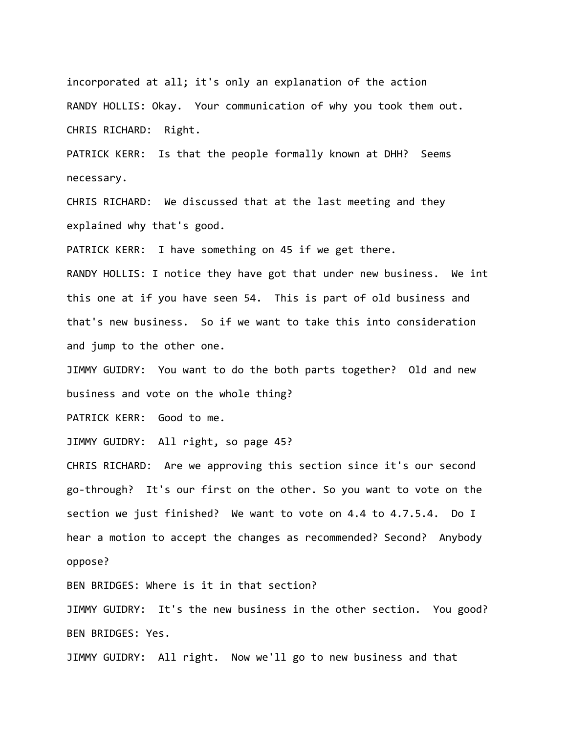incorporated at all; it's only an explanation of the action RANDY HOLLIS: Okay. Your communication of why you took them out. CHRIS RICHARD: Right.

PATRICK KERR: Is that the people formally known at DHH? Seems necessary.

CHRIS RICHARD: We discussed that at the last meeting and they explained why that's good.

PATRICK KERR: I have something on 45 if we get there.

RANDY HOLLIS: I notice they have got that under new business. We int this one at if you have seen 54. This is part of old business and that's new business. So if we want to take this into consideration and jump to the other one.

JIMMY GUIDRY: You want to do the both parts together? Old and new business and vote on the whole thing?

PATRICK KERR: Good to me.

JIMMY GUIDRY: All right, so page 45?

CHRIS RICHARD: Are we approving this section since it's our second go‐through? It's our first on the other. So you want to vote on the section we just finished? We want to vote on 4.4 to 4.7.5.4. Do I hear a motion to accept the changes as recommended? Second? Anybody oppose?

BEN BRIDGES: Where is it in that section?

JIMMY GUIDRY: It's the new business in the other section. You good? BEN BRIDGES: Yes.

JIMMY GUIDRY: All right. Now we'll go to new business and that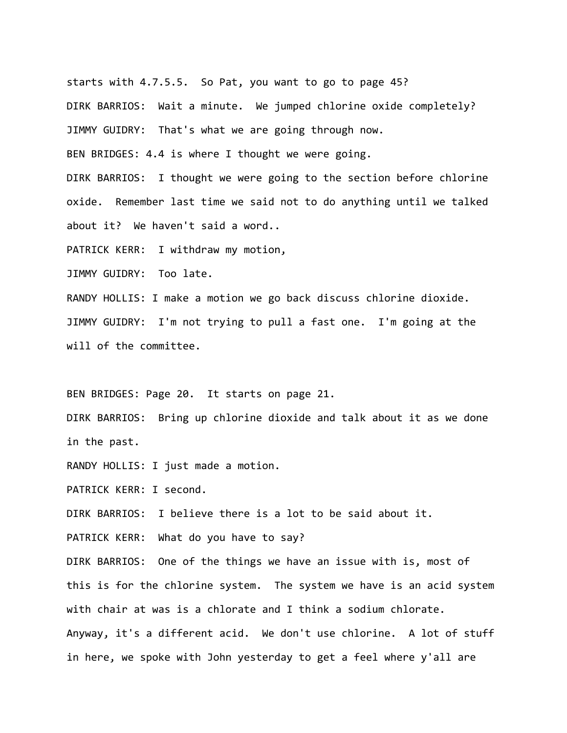starts with 4.7.5.5. So Pat, you want to go to page 45?

DIRK BARRIOS: Wait a minute. We jumped chlorine oxide completely?

JIMMY GUIDRY: That's what we are going through now.

BEN BRIDGES: 4.4 is where I thought we were going.

DIRK BARRIOS: I thought we were going to the section before chlorine oxide. Remember last time we said not to do anything until we talked about it? We haven't said a word..

PATRICK KERR: I withdraw my motion,

JIMMY GUIDRY: Too late.

RANDY HOLLIS: I make a motion we go back discuss chlorine dioxide. JIMMY GUIDRY: I'm not trying to pull a fast one. I'm going at the will of the committee.

BEN BRIDGES: Page 20. It starts on page 21.

DIRK BARRIOS: Bring up chlorine dioxide and talk about it as we done in the past.

RANDY HOLLIS: I just made a motion.

PATRICK KERR: I second.

DIRK BARRIOS: I believe there is a lot to be said about it.

PATRICK KERR: What do you have to say?

DIRK BARRIOS: One of the things we have an issue with is, most of this is for the chlorine system. The system we have is an acid system with chair at was is a chlorate and I think a sodium chlorate. Anyway, it's a different acid. We don't use chlorine. A lot of stuff in here, we spoke with John yesterday to get a feel where y'all are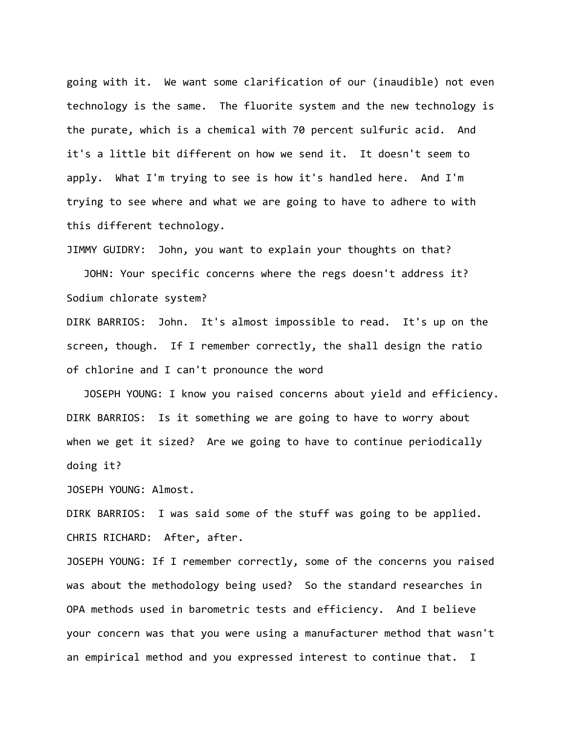going with it. We want some clarification of our (inaudible) not even technology is the same. The fluorite system and the new technology is the purate, which is a chemical with 70 percent sulfuric acid. And it's a little bit different on how we send it. It doesn't seem to apply. What I'm trying to see is how it's handled here. And I'm trying to see where and what we are going to have to adhere to with this different technology.

JIMMY GUIDRY: John, you want to explain your thoughts on that?

JOHN: Your specific concerns where the regs doesn't address it? Sodium chlorate system?

DIRK BARRIOS: John. It's almost impossible to read. It's up on the screen, though. If I remember correctly, the shall design the ratio of chlorine and I can't pronounce the word

JOSEPH YOUNG: I know you raised concerns about yield and efficiency. DIRK BARRIOS: Is it something we are going to have to worry about when we get it sized? Are we going to have to continue periodically doing it?

JOSEPH YOUNG: Almost.

DIRK BARRIOS: I was said some of the stuff was going to be applied. CHRIS RICHARD: After, after.

JOSEPH YOUNG: If I remember correctly, some of the concerns you raised was about the methodology being used? So the standard researches in OPA methods used in barometric tests and efficiency. And I believe your concern was that you were using a manufacturer method that wasn't an empirical method and you expressed interest to continue that. I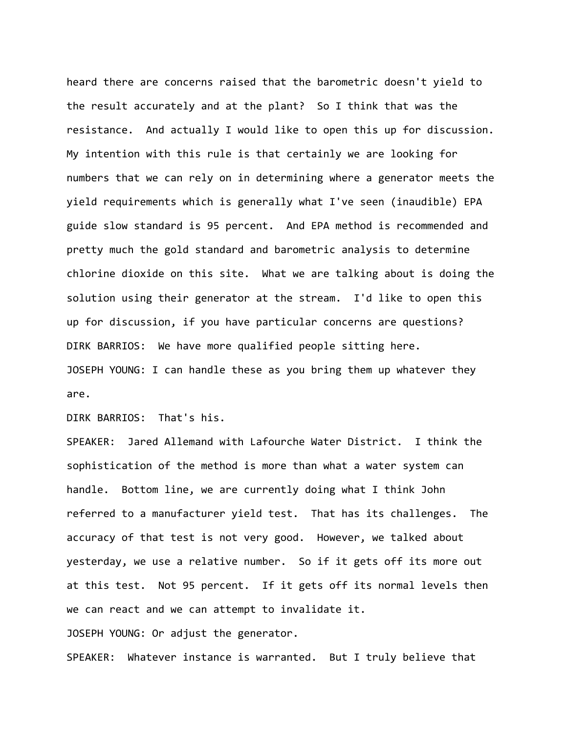heard there are concerns raised that the barometric doesn't yield to the result accurately and at the plant? So I think that was the resistance. And actually I would like to open this up for discussion. My intention with this rule is that certainly we are looking for numbers that we can rely on in determining where a generator meets the yield requirements which is generally what I've seen (inaudible) EPA guide slow standard is 95 percent. And EPA method is recommended and pretty much the gold standard and barometric analysis to determine chlorine dioxide on this site. What we are talking about is doing the solution using their generator at the stream. I'd like to open this up for discussion, if you have particular concerns are questions? DIRK BARRIOS: We have more qualified people sitting here. JOSEPH YOUNG: I can handle these as you bring them up whatever they are.

DIRK BARRIOS: That's his.

SPEAKER: Jared Allemand with Lafourche Water District. I think the sophistication of the method is more than what a water system can handle. Bottom line, we are currently doing what I think John referred to a manufacturer yield test. That has its challenges. The accuracy of that test is not very good. However, we talked about yesterday, we use a relative number. So if it gets off its more out at this test. Not 95 percent. If it gets off its normal levels then we can react and we can attempt to invalidate it.

JOSEPH YOUNG: Or adjust the generator.

SPEAKER: Whatever instance is warranted. But I truly believe that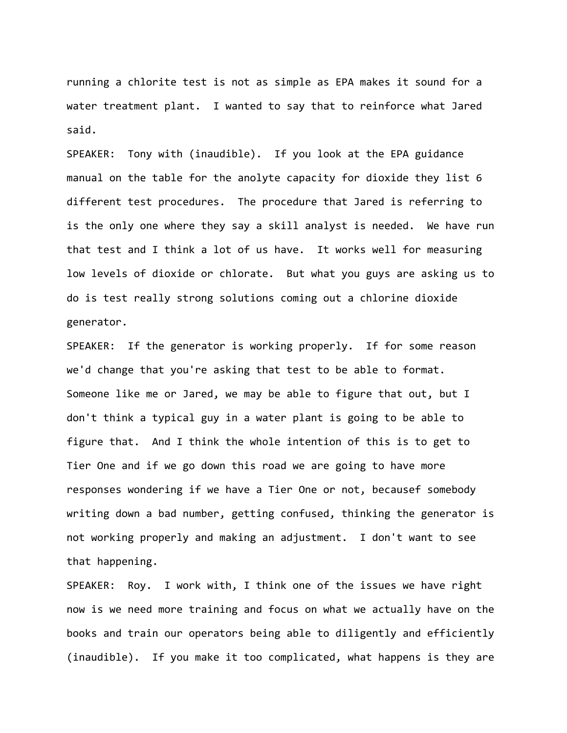running a chlorite test is not as simple as EPA makes it sound for a water treatment plant. I wanted to say that to reinforce what Jared said.

SPEAKER: Tony with (inaudible). If you look at the EPA guidance manual on the table for the anolyte capacity for dioxide they list 6 different test procedures. The procedure that Jared is referring to is the only one where they say a skill analyst is needed. We have run that test and I think a lot of us have. It works well for measuring low levels of dioxide or chlorate. But what you guys are asking us to do is test really strong solutions coming out a chlorine dioxide generator.

SPEAKER: If the generator is working properly. If for some reason we'd change that you're asking that test to be able to format. Someone like me or Jared, we may be able to figure that out, but I don't think a typical guy in a water plant is going to be able to figure that. And I think the whole intention of this is to get to Tier One and if we go down this road we are going to have more responses wondering if we have a Tier One or not, becausef somebody writing down a bad number, getting confused, thinking the generator is not working properly and making an adjustment. I don't want to see that happening.

SPEAKER: Roy. I work with, I think one of the issues we have right now is we need more training and focus on what we actually have on the books and train our operators being able to diligently and efficiently (inaudible). If you make it too complicated, what happens is they are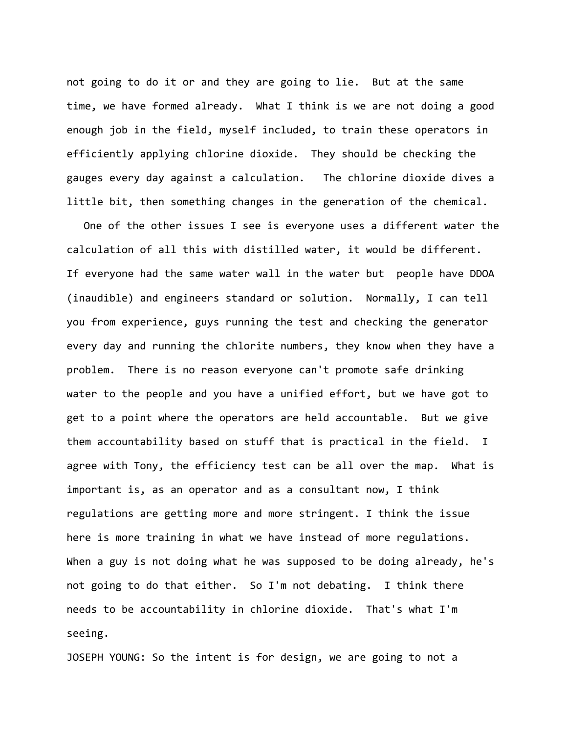not going to do it or and they are going to lie. But at the same time, we have formed already. What I think is we are not doing a good enough job in the field, myself included, to train these operators in efficiently applying chlorine dioxide. They should be checking the gauges every day against a calculation. The chlorine dioxide dives a little bit, then something changes in the generation of the chemical.

One of the other issues I see is everyone uses a different water the calculation of all this with distilled water, it would be different. If everyone had the same water wall in the water but people have DDOA (inaudible) and engineers standard or solution. Normally, I can tell you from experience, guys running the test and checking the generator every day and running the chlorite numbers, they know when they have a problem. There is no reason everyone can't promote safe drinking water to the people and you have a unified effort, but we have got to get to a point where the operators are held accountable. But we give them accountability based on stuff that is practical in the field. I agree with Tony, the efficiency test can be all over the map. What is important is, as an operator and as a consultant now, I think regulations are getting more and more stringent. I think the issue here is more training in what we have instead of more regulations. When a guy is not doing what he was supposed to be doing already, he's not going to do that either. So I'm not debating. I think there needs to be accountability in chlorine dioxide. That's what I'm seeing.

JOSEPH YOUNG: So the intent is for design, we are going to not a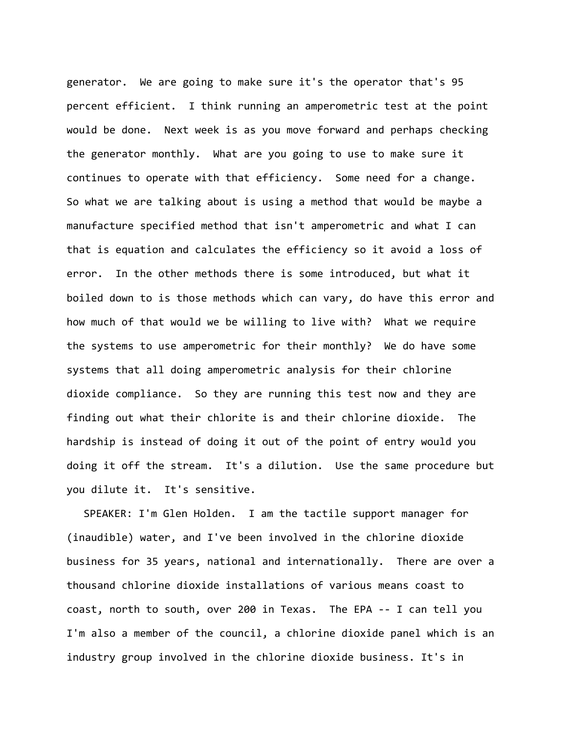generator. We are going to make sure it's the operator that's 95 percent efficient. I think running an amperometric test at the point would be done. Next week is as you move forward and perhaps checking the generator monthly. What are you going to use to make sure it continues to operate with that efficiency. Some need for a change. So what we are talking about is using a method that would be maybe a manufacture specified method that isn't amperometric and what I can that is equation and calculates the efficiency so it avoid a loss of error. In the other methods there is some introduced, but what it boiled down to is those methods which can vary, do have this error and how much of that would we be willing to live with? What we require the systems to use amperometric for their monthly? We do have some systems that all doing amperometric analysis for their chlorine dioxide compliance. So they are running this test now and they are finding out what their chlorite is and their chlorine dioxide. The hardship is instead of doing it out of the point of entry would you doing it off the stream. It's a dilution. Use the same procedure but you dilute it. It's sensitive.

SPEAKER: I'm Glen Holden. I am the tactile support manager for (inaudible) water, and I've been involved in the chlorine dioxide business for 35 years, national and internationally. There are over a thousand chlorine dioxide installations of various means coast to coast, north to south, over 200 in Texas. The EPA ‐‐ I can tell you I'm also a member of the council, a chlorine dioxide panel which is an industry group involved in the chlorine dioxide business. It's in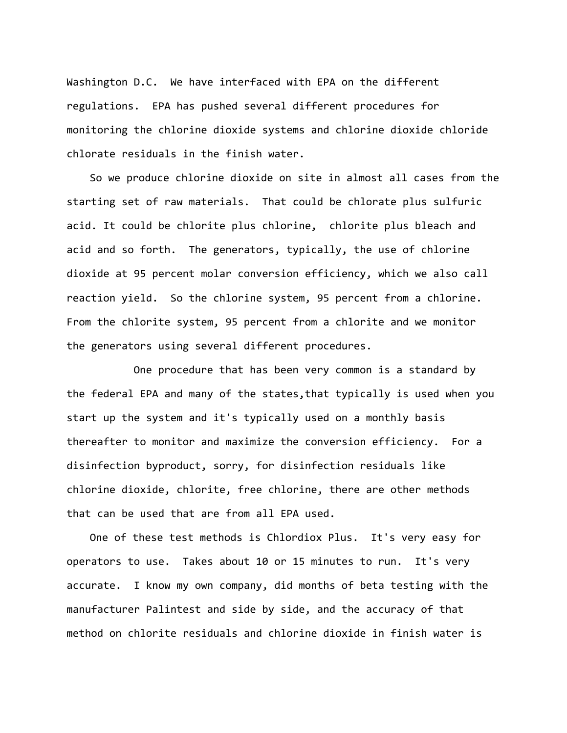Washington D.C. We have interfaced with EPA on the different regulations. EPA has pushed several different procedures for monitoring the chlorine dioxide systems and chlorine dioxide chloride chlorate residuals in the finish water.

So we produce chlorine dioxide on site in almost all cases from the starting set of raw materials. That could be chlorate plus sulfuric acid. It could be chlorite plus chlorine, chlorite plus bleach and acid and so forth. The generators, typically, the use of chlorine dioxide at 95 percent molar conversion efficiency, which we also call reaction yield. So the chlorine system, 95 percent from a chlorine. From the chlorite system, 95 percent from a chlorite and we monitor the generators using several different procedures.

One procedure that has been very common is a standard by the federal EPA and many of the states,that typically is used when you start up the system and it's typically used on a monthly basis thereafter to monitor and maximize the conversion efficiency. For a disinfection byproduct, sorry, for disinfection residuals like chlorine dioxide, chlorite, free chlorine, there are other methods that can be used that are from all EPA used.

One of these test methods is Chlordiox Plus. It's very easy for operators to use. Takes about 10 or 15 minutes to run. It's very accurate. I know my own company, did months of beta testing with the manufacturer Palintest and side by side, and the accuracy of that method on chlorite residuals and chlorine dioxide in finish water is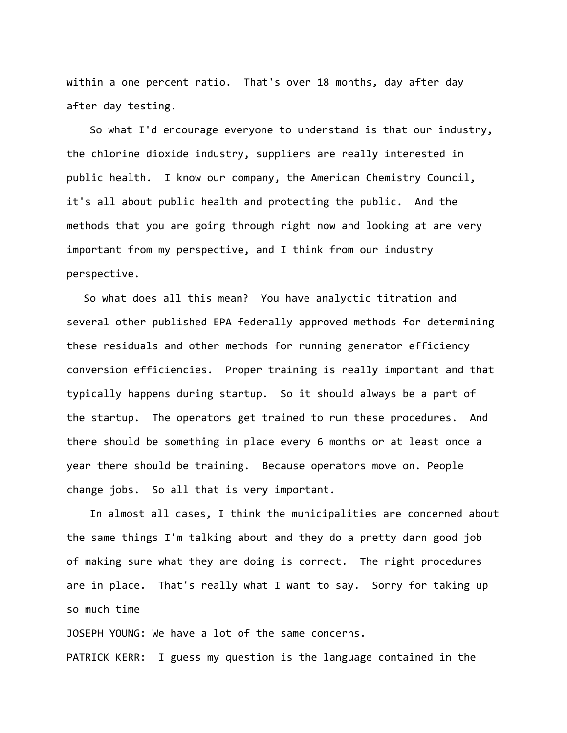within a one percent ratio. That's over 18 months, day after day after day testing.

So what I'd encourage everyone to understand is that our industry, the chlorine dioxide industry, suppliers are really interested in public health. I know our company, the American Chemistry Council, it's all about public health and protecting the public. And the methods that you are going through right now and looking at are very important from my perspective, and I think from our industry perspective.

So what does all this mean? You have analyctic titration and several other published EPA federally approved methods for determining these residuals and other methods for running generator efficiency conversion efficiencies. Proper training is really important and that typically happens during startup. So it should always be a part of the startup. The operators get trained to run these procedures. And there should be something in place every 6 months or at least once a year there should be training. Because operators move on. People change jobs. So all that is very important.

In almost all cases, I think the municipalities are concerned about the same things I'm talking about and they do a pretty darn good job of making sure what they are doing is correct. The right procedures are in place. That's really what I want to say. Sorry for taking up so much time

JOSEPH YOUNG: We have a lot of the same concerns.

PATRICK KERR: I guess my question is the language contained in the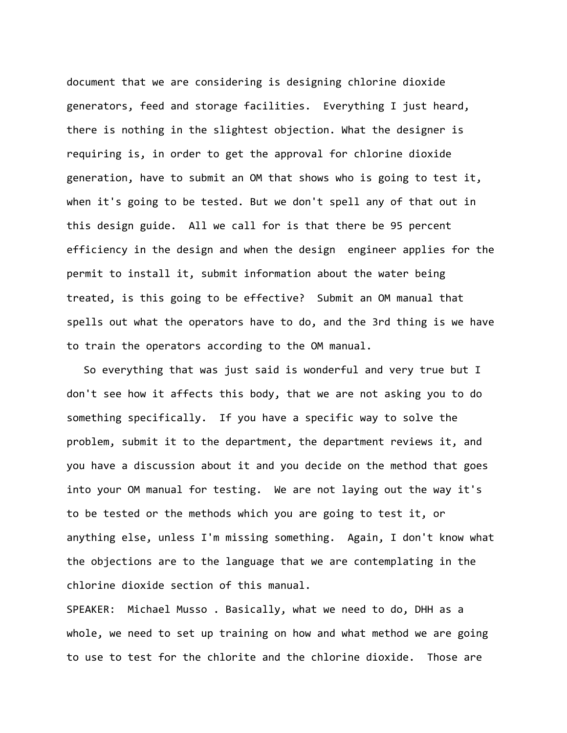document that we are considering is designing chlorine dioxide generators, feed and storage facilities. Everything I just heard, there is nothing in the slightest objection. What the designer is requiring is, in order to get the approval for chlorine dioxide generation, have to submit an OM that shows who is going to test it, when it's going to be tested. But we don't spell any of that out in this design guide. All we call for is that there be 95 percent efficiency in the design and when the design engineer applies for the permit to install it, submit information about the water being treated, is this going to be effective? Submit an OM manual that spells out what the operators have to do, and the 3rd thing is we have to train the operators according to the OM manual.

So everything that was just said is wonderful and very true but I don't see how it affects this body, that we are not asking you to do something specifically. If you have a specific way to solve the problem, submit it to the department, the department reviews it, and you have a discussion about it and you decide on the method that goes into your OM manual for testing. We are not laying out the way it's to be tested or the methods which you are going to test it, or anything else, unless I'm missing something. Again, I don't know what the objections are to the language that we are contemplating in the chlorine dioxide section of this manual.

SPEAKER: Michael Musso . Basically, what we need to do, DHH as a whole, we need to set up training on how and what method we are going to use to test for the chlorite and the chlorine dioxide. Those are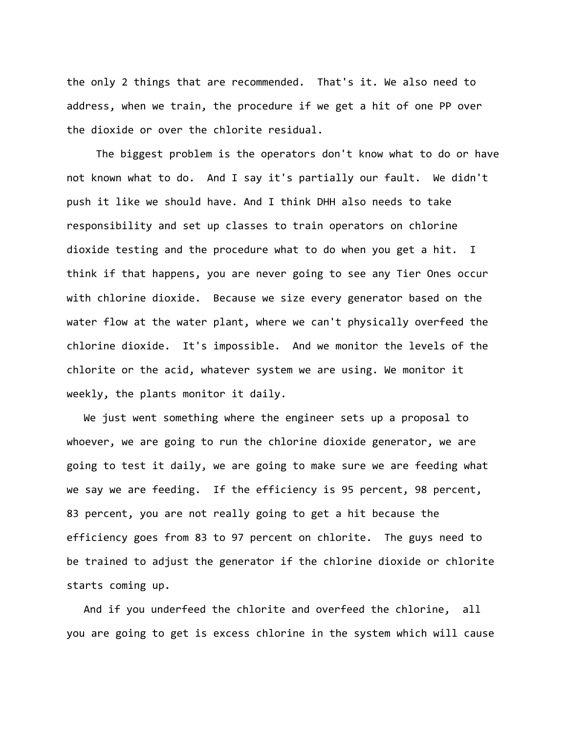the only 2 things that are recommended. That's it. We also need to address, when we train, the procedure if we get a hit of one PP over the dioxide or over the chlorite residual.

 The biggest problem is the operators don't know what to do or have not known what to do. And I say it's partially our fault. We didn't push it like we should have. And I think DHH also needs to take responsibility and set up classes to train operators on chlorine dioxide testing and the procedure what to do when you get a hit. I think if that happens, you are never going to see any Tier Ones occur with chlorine dioxide. Because we size every generator based on the water flow at the water plant, where we can't physically overfeed the chlorine dioxide. It's impossible. And we monitor the levels of the chlorite or the acid, whatever system we are using. We monitor it weekly, the plants monitor it daily.

We just went something where the engineer sets up a proposal to whoever, we are going to run the chlorine dioxide generator, we are going to test it daily, we are going to make sure we are feeding what we say we are feeding. If the efficiency is 95 percent, 98 percent, 83 percent, you are not really going to get a hit because the efficiency goes from 83 to 97 percent on chlorite. The guys need to be trained to adjust the generator if the chlorine dioxide or chlorite starts coming up.

And if you underfeed the chlorite and overfeed the chlorine, all you are going to get is excess chlorine in the system which will cause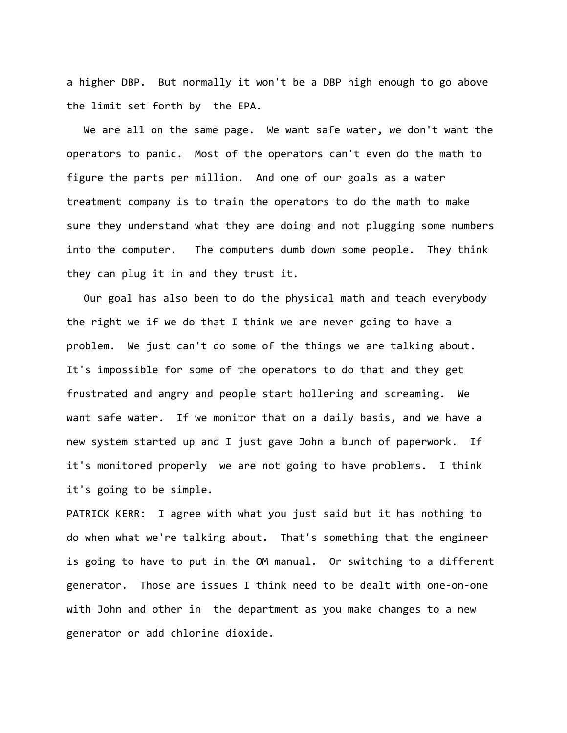a higher DBP. But normally it won't be a DBP high enough to go above the limit set forth by the EPA.

We are all on the same page. We want safe water, we don't want the operators to panic. Most of the operators can't even do the math to figure the parts per million. And one of our goals as a water treatment company is to train the operators to do the math to make sure they understand what they are doing and not plugging some numbers into the computer. The computers dumb down some people. They think they can plug it in and they trust it.

Our goal has also been to do the physical math and teach everybody the right we if we do that I think we are never going to have a problem. We just can't do some of the things we are talking about. It's impossible for some of the operators to do that and they get frustrated and angry and people start hollering and screaming. We want safe water. If we monitor that on a daily basis, and we have a new system started up and I just gave John a bunch of paperwork. If it's monitored properly we are not going to have problems. I think it's going to be simple.

PATRICK KERR: I agree with what you just said but it has nothing to do when what we're talking about. That's something that the engineer is going to have to put in the OM manual. Or switching to a different generator. Those are issues I think need to be dealt with one‐on‐one with John and other in the department as you make changes to a new generator or add chlorine dioxide.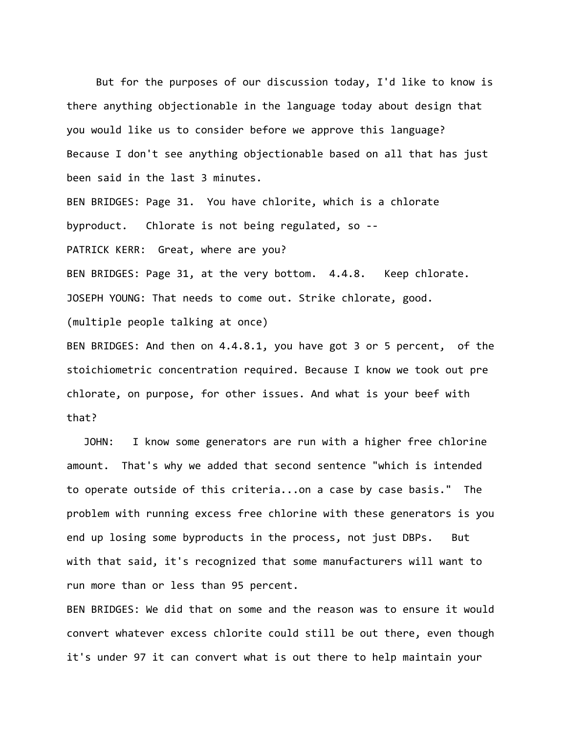But for the purposes of our discussion today, I'd like to know is there anything objectionable in the language today about design that you would like us to consider before we approve this language? Because I don't see anything objectionable based on all that has just been said in the last 3 minutes. BEN BRIDGES: Page 31. You have chlorite, which is a chlorate byproduct. Chlorate is not being regulated, so ‐‐ PATRICK KERR: Great, where are you? BEN BRIDGES: Page 31, at the very bottom. 4.4.8. Keep chlorate. JOSEPH YOUNG: That needs to come out. Strike chlorate, good. (multiple people talking at once) BEN BRIDGES: And then on 4.4.8.1, you have got 3 or 5 percent, of the stoichiometric concentration required. Because I know we took out pre

chlorate, on purpose, for other issues. And what is your beef with that?

JOHN: I know some generators are run with a higher free chlorine amount. That's why we added that second sentence "which is intended to operate outside of this criteria...on a case by case basis." The problem with running excess free chlorine with these generators is you end up losing some byproducts in the process, not just DBPs. But with that said, it's recognized that some manufacturers will want to run more than or less than 95 percent.

BEN BRIDGES: We did that on some and the reason was to ensure it would convert whatever excess chlorite could still be out there, even though it's under 97 it can convert what is out there to help maintain your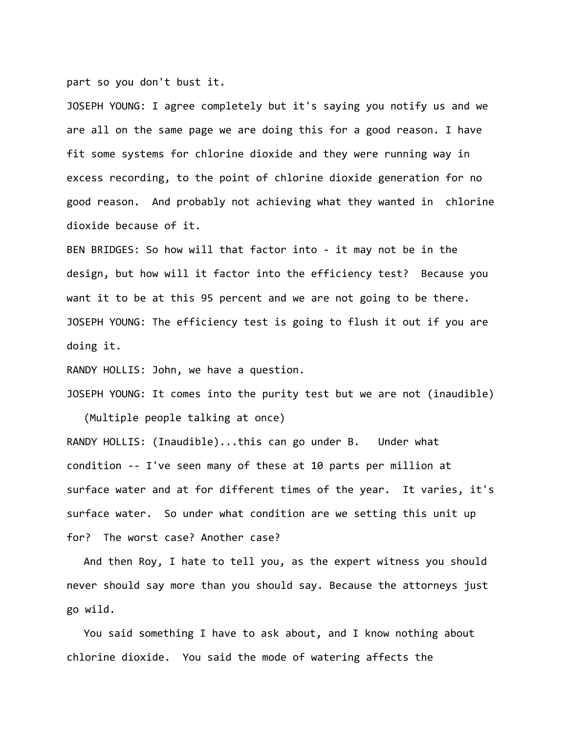part so you don't bust it.

JOSEPH YOUNG: I agree completely but it's saying you notify us and we are all on the same page we are doing this for a good reason. I have fit some systems for chlorine dioxide and they were running way in excess recording, to the point of chlorine dioxide generation for no good reason. And probably not achieving what they wanted in chlorine dioxide because of it.

BEN BRIDGES: So how will that factor into ‐ it may not be in the design, but how will it factor into the efficiency test? Because you want it to be at this 95 percent and we are not going to be there. JOSEPH YOUNG: The efficiency test is going to flush it out if you are doing it.

RANDY HOLLIS: John, we have a question.

JOSEPH YOUNG: It comes into the purity test but we are not (inaudible)

(Multiple people talking at once)

RANDY HOLLIS: (Inaudible)...this can go under B. Under what condition ‐‐ I've seen many of these at 10 parts per million at surface water and at for different times of the year. It varies, it's surface water. So under what condition are we setting this unit up for? The worst case? Another case?

And then Roy, I hate to tell you, as the expert witness you should never should say more than you should say. Because the attorneys just go wild.

You said something I have to ask about, and I know nothing about chlorine dioxide. You said the mode of watering affects the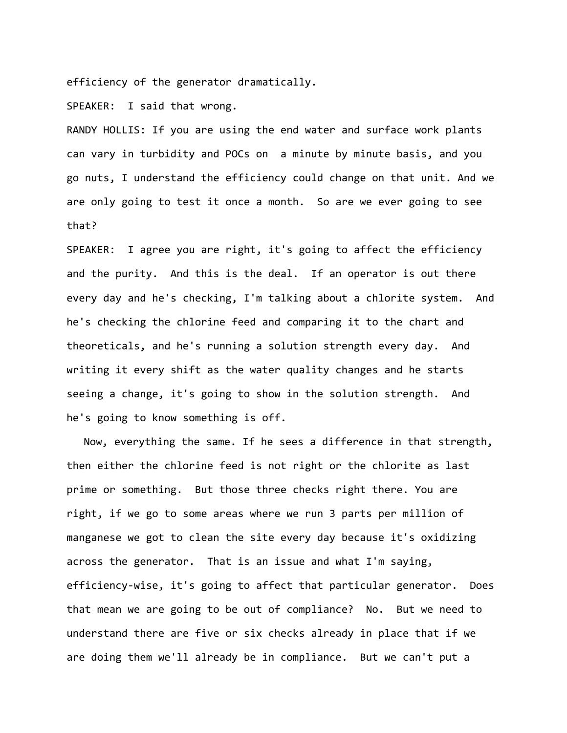efficiency of the generator dramatically.

SPEAKER: I said that wrong.

RANDY HOLLIS: If you are using the end water and surface work plants can vary in turbidity and POCs on a minute by minute basis, and you go nuts, I understand the efficiency could change on that unit. And we are only going to test it once a month. So are we ever going to see that?

SPEAKER: I agree you are right, it's going to affect the efficiency and the purity. And this is the deal. If an operator is out there every day and he's checking, I'm talking about a chlorite system. And he's checking the chlorine feed and comparing it to the chart and theoreticals, and he's running a solution strength every day. And writing it every shift as the water quality changes and he starts seeing a change, it's going to show in the solution strength. And he's going to know something is off.

Now, everything the same. If he sees a difference in that strength, then either the chlorine feed is not right or the chlorite as last prime or something. But those three checks right there. You are right, if we go to some areas where we run 3 parts per million of manganese we got to clean the site every day because it's oxidizing across the generator. That is an issue and what I'm saying, efficiency‐wise, it's going to affect that particular generator. Does that mean we are going to be out of compliance? No. But we need to understand there are five or six checks already in place that if we are doing them we'll already be in compliance. But we can't put a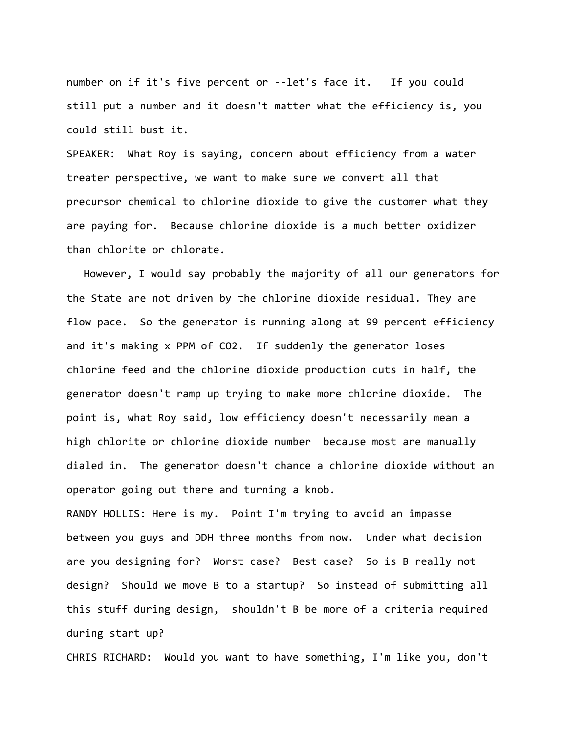number on if it's five percent or --let's face it. If you could still put a number and it doesn't matter what the efficiency is, you could still bust it.

SPEAKER: What Roy is saying, concern about efficiency from a water treater perspective, we want to make sure we convert all that precursor chemical to chlorine dioxide to give the customer what they are paying for. Because chlorine dioxide is a much better oxidizer than chlorite or chlorate.

However, I would say probably the majority of all our generators for the State are not driven by the chlorine dioxide residual. They are flow pace. So the generator is running along at 99 percent efficiency and it's making x PPM of CO2. If suddenly the generator loses chlorine feed and the chlorine dioxide production cuts in half, the generator doesn't ramp up trying to make more chlorine dioxide. The point is, what Roy said, low efficiency doesn't necessarily mean a high chlorite or chlorine dioxide number because most are manually dialed in. The generator doesn't chance a chlorine dioxide without an operator going out there and turning a knob.

RANDY HOLLIS: Here is my. Point I'm trying to avoid an impasse between you guys and DDH three months from now. Under what decision are you designing for? Worst case? Best case? So is B really not design? Should we move B to a startup? So instead of submitting all this stuff during design, shouldn't B be more of a criteria required during start up?

CHRIS RICHARD: Would you want to have something, I'm like you, don't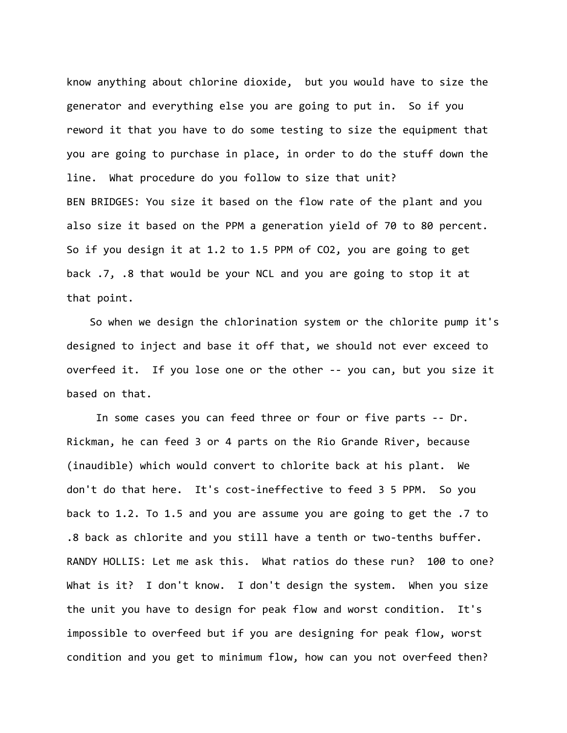know anything about chlorine dioxide, but you would have to size the generator and everything else you are going to put in. So if you reword it that you have to do some testing to size the equipment that you are going to purchase in place, in order to do the stuff down the line. What procedure do you follow to size that unit? BEN BRIDGES: You size it based on the flow rate of the plant and you also size it based on the PPM a generation yield of 70 to 80 percent. So if you design it at 1.2 to 1.5 PPM of CO2, you are going to get back .7, .8 that would be your NCL and you are going to stop it at that point.

So when we design the chlorination system or the chlorite pump it's designed to inject and base it off that, we should not ever exceed to overfeed it. If you lose one or the other ‐‐ you can, but you size it based on that.

 In some cases you can feed three or four or five parts ‐‐ Dr. Rickman, he can feed 3 or 4 parts on the Rio Grande River, because (inaudible) which would convert to chlorite back at his plant. We don't do that here. It's cost‐ineffective to feed 3 5 PPM. So you back to 1.2. To 1.5 and you are assume you are going to get the .7 to .8 back as chlorite and you still have a tenth or two‐tenths buffer. RANDY HOLLIS: Let me ask this. What ratios do these run? 100 to one? What is it? I don't know. I don't design the system. When you size the unit you have to design for peak flow and worst condition. It's impossible to overfeed but if you are designing for peak flow, worst condition and you get to minimum flow, how can you not overfeed then?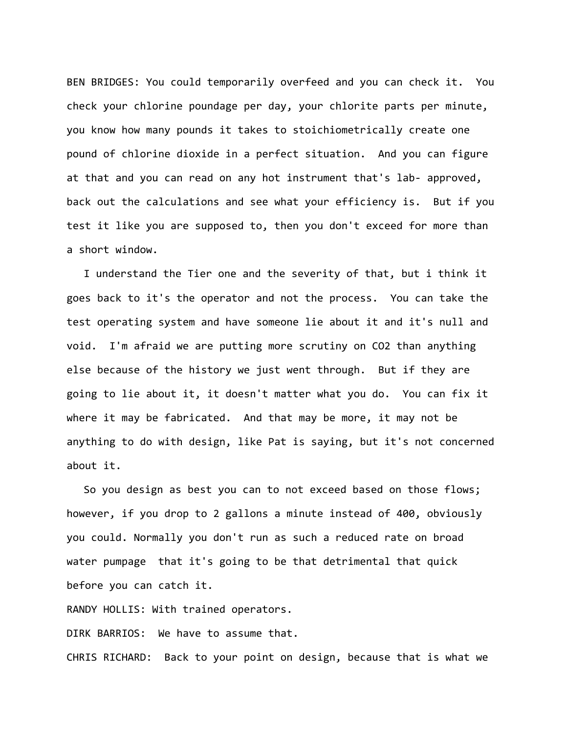BEN BRIDGES: You could temporarily overfeed and you can check it. You check your chlorine poundage per day, your chlorite parts per minute, you know how many pounds it takes to stoichiometrically create one pound of chlorine dioxide in a perfect situation. And you can figure at that and you can read on any hot instrument that's lab‐ approved, back out the calculations and see what your efficiency is. But if you test it like you are supposed to, then you don't exceed for more than a short window.

I understand the Tier one and the severity of that, but i think it goes back to it's the operator and not the process. You can take the test operating system and have someone lie about it and it's null and void. I'm afraid we are putting more scrutiny on CO2 than anything else because of the history we just went through. But if they are going to lie about it, it doesn't matter what you do. You can fix it where it may be fabricated. And that may be more, it may not be anything to do with design, like Pat is saying, but it's not concerned about it.

So you design as best you can to not exceed based on those flows; however, if you drop to 2 gallons a minute instead of 400, obviously you could. Normally you don't run as such a reduced rate on broad water pumpage that it's going to be that detrimental that quick before you can catch it.

RANDY HOLLIS: With trained operators.

DIRK BARRIOS: We have to assume that.

CHRIS RICHARD: Back to your point on design, because that is what we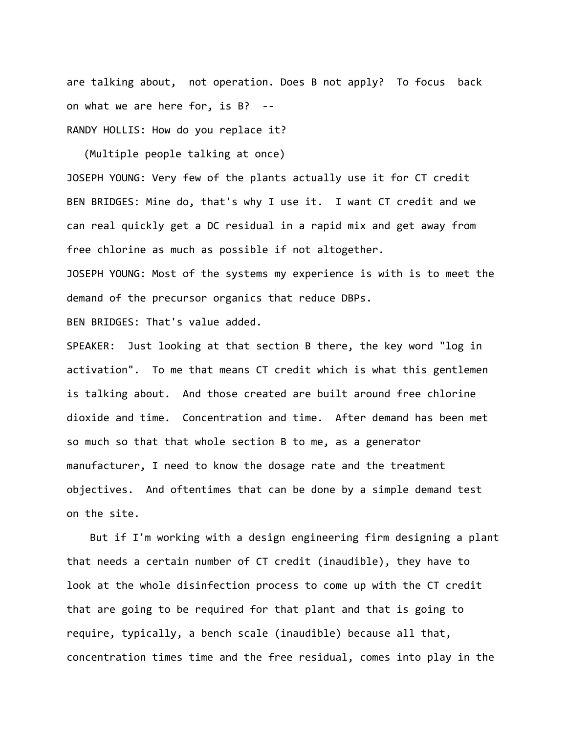are talking about, not operation. Does B not apply? To focus back on what we are here for, is B? ‐‐ RANDY HOLLIS: How do you replace it?

(Multiple people talking at once)

JOSEPH YOUNG: Very few of the plants actually use it for CT credit BEN BRIDGES: Mine do, that's why I use it. I want CT credit and we can real quickly get a DC residual in a rapid mix and get away from free chlorine as much as possible if not altogether.

JOSEPH YOUNG: Most of the systems my experience is with is to meet the demand of the precursor organics that reduce DBPs.

BEN BRIDGES: That's value added.

SPEAKER: Just looking at that section B there, the key word "log in activation". To me that means CT credit which is what this gentlemen is talking about. And those created are built around free chlorine dioxide and time. Concentration and time. After demand has been met so much so that that whole section B to me, as a generator manufacturer, I need to know the dosage rate and the treatment objectives. And oftentimes that can be done by a simple demand test on the site.

But if I'm working with a design engineering firm designing a plant that needs a certain number of CT credit (inaudible), they have to look at the whole disinfection process to come up with the CT credit that are going to be required for that plant and that is going to require, typically, a bench scale (inaudible) because all that, concentration times time and the free residual, comes into play in the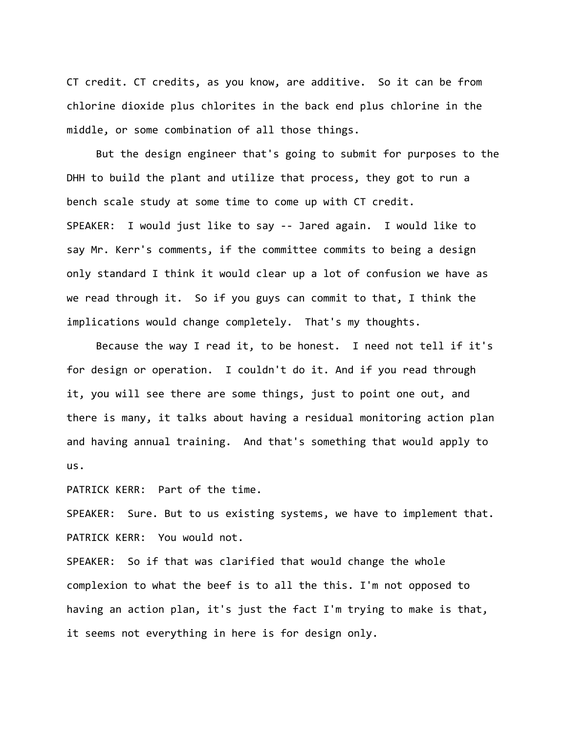CT credit. CT credits, as you know, are additive. So it can be from chlorine dioxide plus chlorites in the back end plus chlorine in the middle, or some combination of all those things.

 But the design engineer that's going to submit for purposes to the DHH to build the plant and utilize that process, they got to run a bench scale study at some time to come up with CT credit. SPEAKER: I would just like to say ‐‐ Jared again. I would like to say Mr. Kerr's comments, if the committee commits to being a design only standard I think it would clear up a lot of confusion we have as we read through it. So if you guys can commit to that, I think the implications would change completely. That's my thoughts.

 Because the way I read it, to be honest. I need not tell if it's for design or operation. I couldn't do it. And if you read through it, you will see there are some things, just to point one out, and there is many, it talks about having a residual monitoring action plan and having annual training. And that's something that would apply to us.

PATRICK KERR: Part of the time.

SPEAKER: Sure. But to us existing systems, we have to implement that. PATRICK KERR: You would not.

SPEAKER: So if that was clarified that would change the whole complexion to what the beef is to all the this. I'm not opposed to having an action plan, it's just the fact I'm trying to make is that, it seems not everything in here is for design only.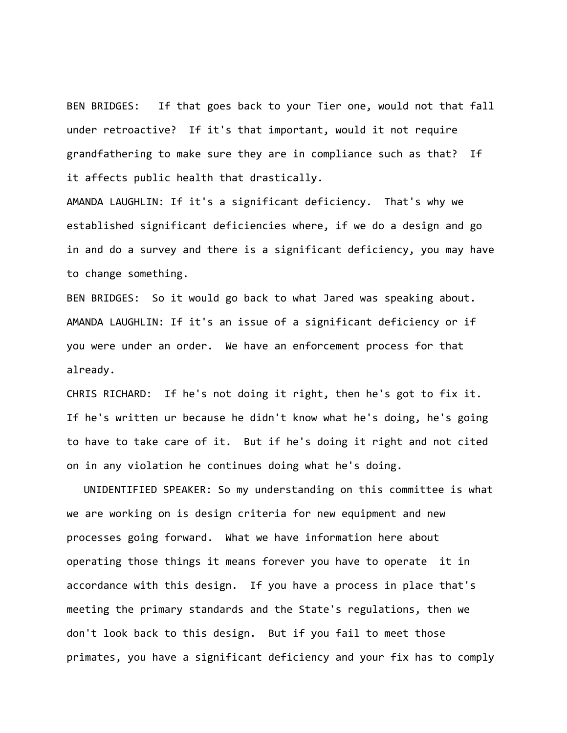BEN BRIDGES: If that goes back to your Tier one, would not that fall under retroactive? If it's that important, would it not require grandfathering to make sure they are in compliance such as that? If it affects public health that drastically.

AMANDA LAUGHLIN: If it's a significant deficiency. That's why we established significant deficiencies where, if we do a design and go in and do a survey and there is a significant deficiency, you may have to change something.

BEN BRIDGES: So it would go back to what Jared was speaking about. AMANDA LAUGHLIN: If it's an issue of a significant deficiency or if you were under an order. We have an enforcement process for that already.

CHRIS RICHARD: If he's not doing it right, then he's got to fix it. If he's written ur because he didn't know what he's doing, he's going to have to take care of it. But if he's doing it right and not cited on in any violation he continues doing what he's doing.

UNIDENTIFIED SPEAKER: So my understanding on this committee is what we are working on is design criteria for new equipment and new processes going forward. What we have information here about operating those things it means forever you have to operate it in accordance with this design. If you have a process in place that's meeting the primary standards and the State's regulations, then we don't look back to this design. But if you fail to meet those primates, you have a significant deficiency and your fix has to comply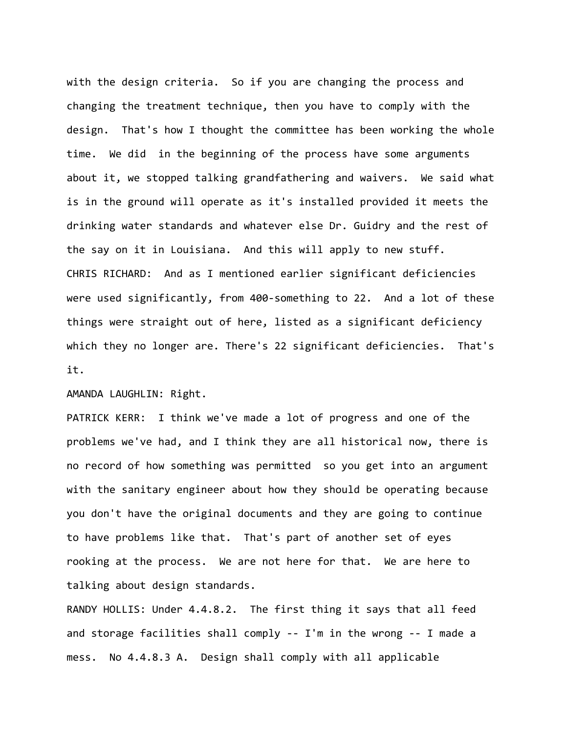with the design criteria. So if you are changing the process and changing the treatment technique, then you have to comply with the design. That's how I thought the committee has been working the whole time. We did in the beginning of the process have some arguments about it, we stopped talking grandfathering and waivers. We said what is in the ground will operate as it's installed provided it meets the drinking water standards and whatever else Dr. Guidry and the rest of the say on it in Louisiana. And this will apply to new stuff. CHRIS RICHARD: And as I mentioned earlier significant deficiencies were used significantly, from 400-something to 22. And a lot of these things were straight out of here, listed as a significant deficiency which they no longer are. There's 22 significant deficiencies. That's it.

AMANDA LAUGHLIN: Right.

PATRICK KERR: I think we've made a lot of progress and one of the problems we've had, and I think they are all historical now, there is no record of how something was permitted so you get into an argument with the sanitary engineer about how they should be operating because you don't have the original documents and they are going to continue to have problems like that. That's part of another set of eyes rooking at the process. We are not here for that. We are here to talking about design standards.

RANDY HOLLIS: Under 4.4.8.2. The first thing it says that all feed and storage facilities shall comply ‐‐ I'm in the wrong ‐‐ I made a mess. No 4.4.8.3 A. Design shall comply with all applicable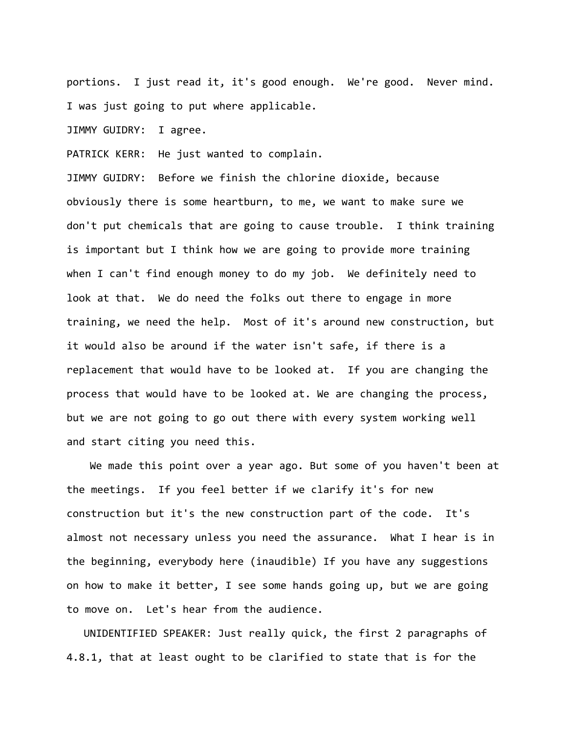portions. I just read it, it's good enough. We're good. Never mind. I was just going to put where applicable.

JIMMY GUIDRY: I agree.

PATRICK KERR: He just wanted to complain.

JIMMY GUIDRY: Before we finish the chlorine dioxide, because obviously there is some heartburn, to me, we want to make sure we don't put chemicals that are going to cause trouble. I think training is important but I think how we are going to provide more training when I can't find enough money to do my job. We definitely need to look at that. We do need the folks out there to engage in more training, we need the help. Most of it's around new construction, but it would also be around if the water isn't safe, if there is a replacement that would have to be looked at. If you are changing the process that would have to be looked at. We are changing the process, but we are not going to go out there with every system working well and start citing you need this.

We made this point over a year ago. But some of you haven't been at the meetings. If you feel better if we clarify it's for new construction but it's the new construction part of the code. It's almost not necessary unless you need the assurance. What I hear is in the beginning, everybody here (inaudible) If you have any suggestions on how to make it better, I see some hands going up, but we are going to move on. Let's hear from the audience.

UNIDENTIFIED SPEAKER: Just really quick, the first 2 paragraphs of 4.8.1, that at least ought to be clarified to state that is for the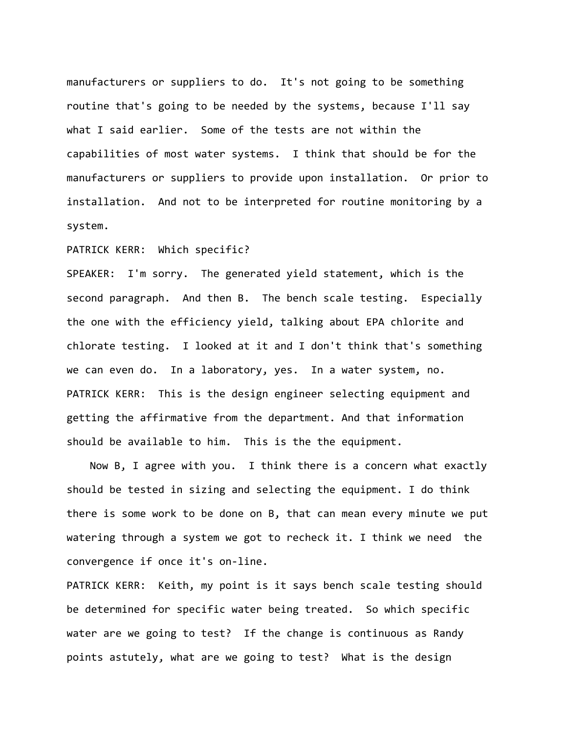manufacturers or suppliers to do. It's not going to be something routine that's going to be needed by the systems, because I'll say what I said earlier. Some of the tests are not within the capabilities of most water systems. I think that should be for the manufacturers or suppliers to provide upon installation. Or prior to installation. And not to be interpreted for routine monitoring by a system.

PATRICK KERR: Which specific?

SPEAKER: I'm sorry. The generated yield statement, which is the second paragraph. And then B. The bench scale testing. Especially the one with the efficiency yield, talking about EPA chlorite and chlorate testing. I looked at it and I don't think that's something we can even do. In a laboratory, yes. In a water system, no. PATRICK KERR: This is the design engineer selecting equipment and getting the affirmative from the department. And that information should be available to him. This is the the equipment.

Now B, I agree with you. I think there is a concern what exactly should be tested in sizing and selecting the equipment. I do think there is some work to be done on B, that can mean every minute we put watering through a system we got to recheck it. I think we need the convergence if once it's on‐line.

PATRICK KERR: Keith, my point is it says bench scale testing should be determined for specific water being treated. So which specific water are we going to test? If the change is continuous as Randy points astutely, what are we going to test? What is the design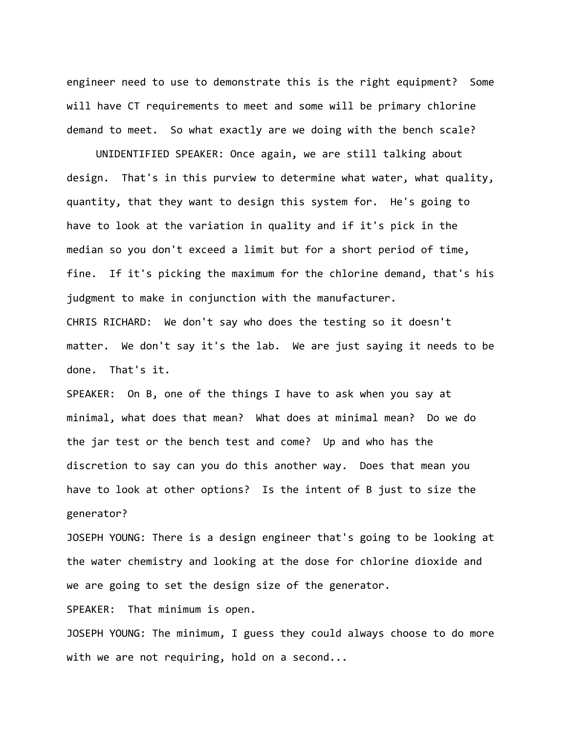engineer need to use to demonstrate this is the right equipment? Some will have CT requirements to meet and some will be primary chlorine demand to meet. So what exactly are we doing with the bench scale?

 UNIDENTIFIED SPEAKER: Once again, we are still talking about design. That's in this purview to determine what water, what quality, quantity, that they want to design this system for. He's going to have to look at the variation in quality and if it's pick in the median so you don't exceed a limit but for a short period of time, fine. If it's picking the maximum for the chlorine demand, that's his judgment to make in conjunction with the manufacturer. CHRIS RICHARD: We don't say who does the testing so it doesn't matter. We don't say it's the lab. We are just saying it needs to be done. That's it.

SPEAKER: On B, one of the things I have to ask when you say at minimal, what does that mean? What does at minimal mean? Do we do the jar test or the bench test and come? Up and who has the discretion to say can you do this another way. Does that mean you have to look at other options? Is the intent of B just to size the generator?

JOSEPH YOUNG: There is a design engineer that's going to be looking at the water chemistry and looking at the dose for chlorine dioxide and we are going to set the design size of the generator.

SPEAKER: That minimum is open.

JOSEPH YOUNG: The minimum, I guess they could always choose to do more with we are not requiring, hold on a second...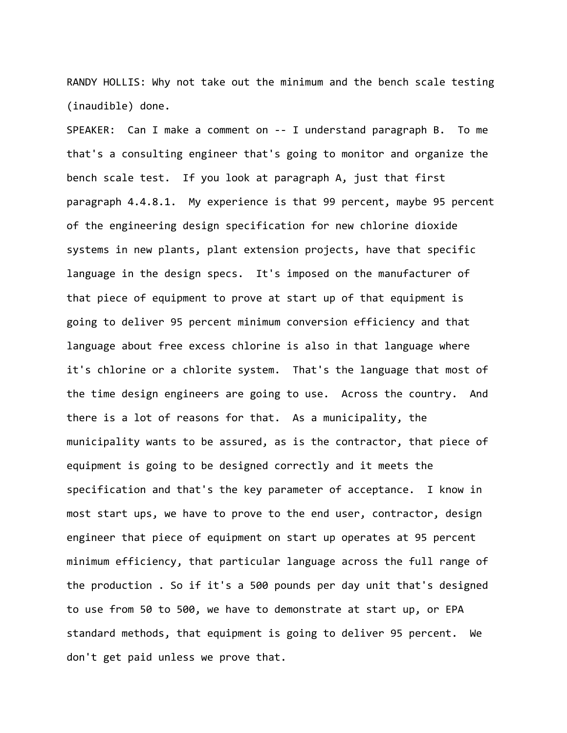RANDY HOLLIS: Why not take out the minimum and the bench scale testing (inaudible) done.

SPEAKER: Can I make a comment on -- I understand paragraph B. To me that's a consulting engineer that's going to monitor and organize the bench scale test. If you look at paragraph A, just that first paragraph 4.4.8.1. My experience is that 99 percent, maybe 95 percent of the engineering design specification for new chlorine dioxide systems in new plants, plant extension projects, have that specific language in the design specs. It's imposed on the manufacturer of that piece of equipment to prove at start up of that equipment is going to deliver 95 percent minimum conversion efficiency and that language about free excess chlorine is also in that language where it's chlorine or a chlorite system. That's the language that most of the time design engineers are going to use. Across the country. And there is a lot of reasons for that. As a municipality, the municipality wants to be assured, as is the contractor, that piece of equipment is going to be designed correctly and it meets the specification and that's the key parameter of acceptance. I know in most start ups, we have to prove to the end user, contractor, design engineer that piece of equipment on start up operates at 95 percent minimum efficiency, that particular language across the full range of the production . So if it's a 500 pounds per day unit that's designed to use from 50 to 500, we have to demonstrate at start up, or EPA standard methods, that equipment is going to deliver 95 percent. We don't get paid unless we prove that.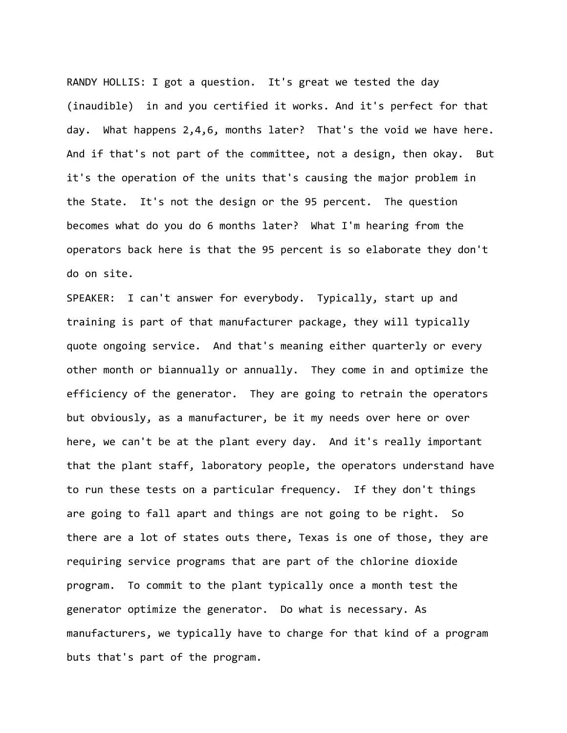RANDY HOLLIS: I got a question. It's great we tested the day (inaudible) in and you certified it works. And it's perfect for that day. What happens 2,4,6, months later? That's the void we have here. And if that's not part of the committee, not a design, then okay. But it's the operation of the units that's causing the major problem in the State. It's not the design or the 95 percent. The question becomes what do you do 6 months later? What I'm hearing from the operators back here is that the 95 percent is so elaborate they don't do on site.

SPEAKER: I can't answer for everybody. Typically, start up and training is part of that manufacturer package, they will typically quote ongoing service. And that's meaning either quarterly or every other month or biannually or annually. They come in and optimize the efficiency of the generator. They are going to retrain the operators but obviously, as a manufacturer, be it my needs over here or over here, we can't be at the plant every day. And it's really important that the plant staff, laboratory people, the operators understand have to run these tests on a particular frequency. If they don't things are going to fall apart and things are not going to be right. So there are a lot of states outs there, Texas is one of those, they are requiring service programs that are part of the chlorine dioxide program. To commit to the plant typically once a month test the generator optimize the generator. Do what is necessary. As manufacturers, we typically have to charge for that kind of a program buts that's part of the program.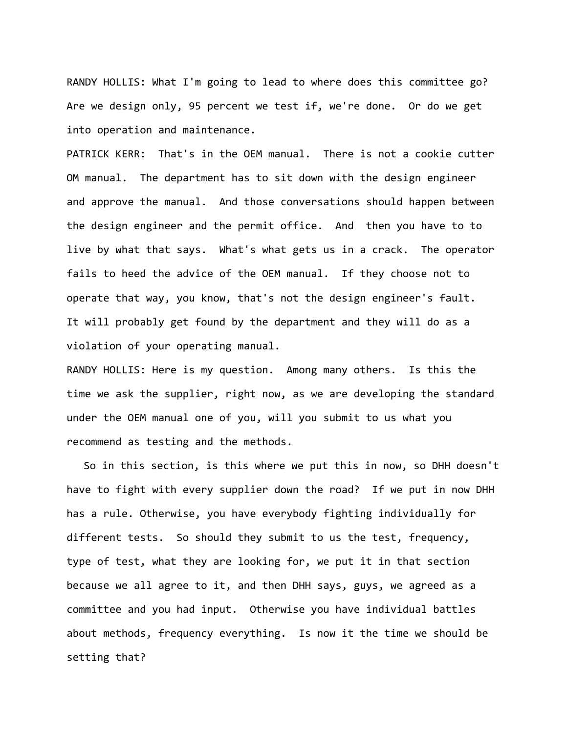RANDY HOLLIS: What I'm going to lead to where does this committee go? Are we design only, 95 percent we test if, we're done. Or do we get into operation and maintenance.

PATRICK KERR: That's in the OEM manual. There is not a cookie cutter OM manual. The department has to sit down with the design engineer and approve the manual. And those conversations should happen between the design engineer and the permit office. And then you have to to live by what that says. What's what gets us in a crack. The operator fails to heed the advice of the OEM manual. If they choose not to operate that way, you know, that's not the design engineer's fault. It will probably get found by the department and they will do as a violation of your operating manual.

RANDY HOLLIS: Here is my question. Among many others. Is this the time we ask the supplier, right now, as we are developing the standard under the OEM manual one of you, will you submit to us what you recommend as testing and the methods.

So in this section, is this where we put this in now, so DHH doesn't have to fight with every supplier down the road? If we put in now DHH has a rule. Otherwise, you have everybody fighting individually for different tests. So should they submit to us the test, frequency, type of test, what they are looking for, we put it in that section because we all agree to it, and then DHH says, guys, we agreed as a committee and you had input. Otherwise you have individual battles about methods, frequency everything. Is now it the time we should be setting that?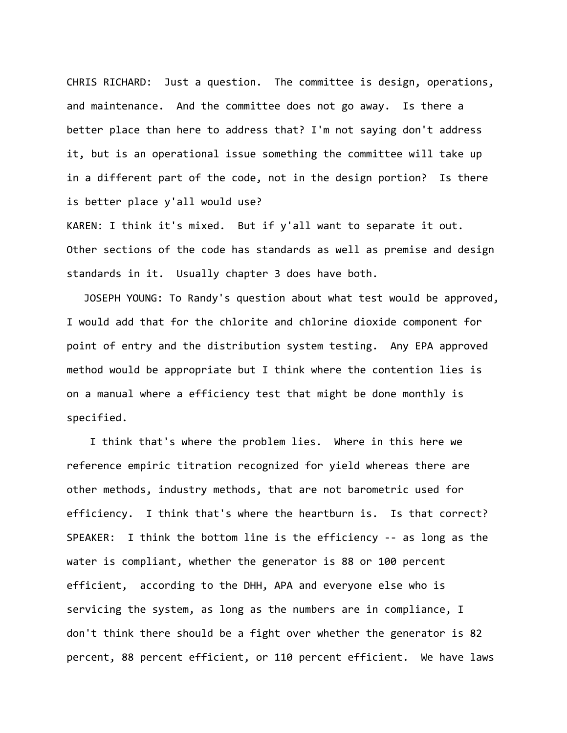CHRIS RICHARD: Just a question. The committee is design, operations, and maintenance. And the committee does not go away. Is there a better place than here to address that? I'm not saying don't address it, but is an operational issue something the committee will take up in a different part of the code, not in the design portion? Is there is better place y'all would use?

KAREN: I think it's mixed. But if y'all want to separate it out. Other sections of the code has standards as well as premise and design standards in it. Usually chapter 3 does have both.

JOSEPH YOUNG: To Randy's question about what test would be approved, I would add that for the chlorite and chlorine dioxide component for point of entry and the distribution system testing. Any EPA approved method would be appropriate but I think where the contention lies is on a manual where a efficiency test that might be done monthly is specified.

I think that's where the problem lies. Where in this here we reference empiric titration recognized for yield whereas there are other methods, industry methods, that are not barometric used for efficiency. I think that's where the heartburn is. Is that correct? SPEAKER: I think the bottom line is the efficiency ‐‐ as long as the water is compliant, whether the generator is 88 or 100 percent efficient, according to the DHH, APA and everyone else who is servicing the system, as long as the numbers are in compliance, I don't think there should be a fight over whether the generator is 82 percent, 88 percent efficient, or 110 percent efficient. We have laws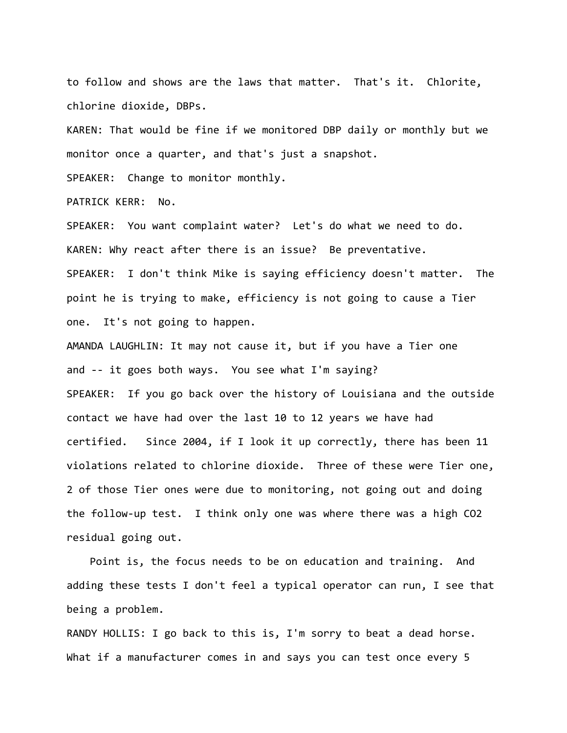to follow and shows are the laws that matter. That's it. Chlorite, chlorine dioxide, DBPs.

KAREN: That would be fine if we monitored DBP daily or monthly but we monitor once a quarter, and that's just a snapshot.

SPEAKER: Change to monitor monthly.

PATRICK KERR: No.

SPEAKER: You want complaint water? Let's do what we need to do. KAREN: Why react after there is an issue? Be preventative. SPEAKER: I don't think Mike is saying efficiency doesn't matter. The point he is trying to make, efficiency is not going to cause a Tier one. It's not going to happen.

AMANDA LAUGHLIN: It may not cause it, but if you have a Tier one and ‐‐ it goes both ways. You see what I'm saying? SPEAKER: If you go back over the history of Louisiana and the outside contact we have had over the last 10 to 12 years we have had certified. Since 2004, if I look it up correctly, there has been 11 violations related to chlorine dioxide. Three of these were Tier one, 2 of those Tier ones were due to monitoring, not going out and doing the follow‐up test. I think only one was where there was a high CO2 residual going out.

Point is, the focus needs to be on education and training. And adding these tests I don't feel a typical operator can run, I see that being a problem.

RANDY HOLLIS: I go back to this is, I'm sorry to beat a dead horse. What if a manufacturer comes in and says you can test once every 5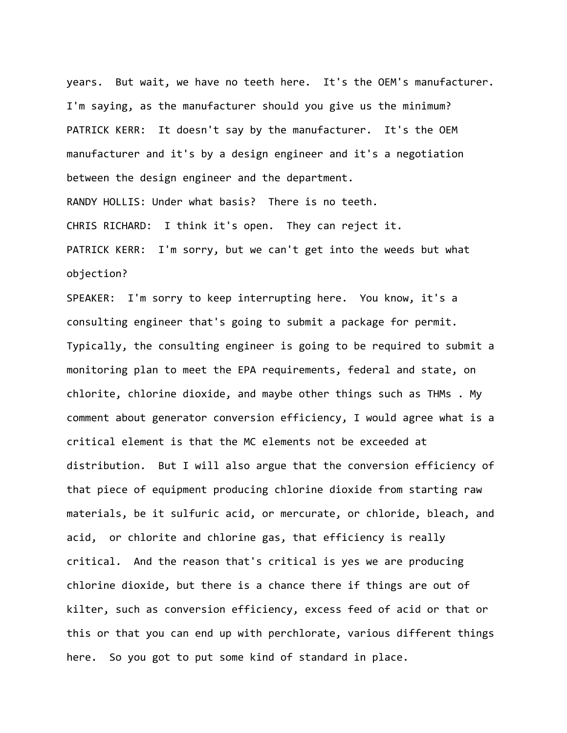years. But wait, we have no teeth here. It's the OEM's manufacturer. I'm saying, as the manufacturer should you give us the minimum? PATRICK KERR: It doesn't say by the manufacturer. It's the OEM manufacturer and it's by a design engineer and it's a negotiation between the design engineer and the department. RANDY HOLLIS: Under what basis? There is no teeth. CHRIS RICHARD: I think it's open. They can reject it. PATRICK KERR: I'm sorry, but we can't get into the weeds but what objection?

SPEAKER: I'm sorry to keep interrupting here. You know, it's a consulting engineer that's going to submit a package for permit. Typically, the consulting engineer is going to be required to submit a monitoring plan to meet the EPA requirements, federal and state, on chlorite, chlorine dioxide, and maybe other things such as THMs . My comment about generator conversion efficiency, I would agree what is a critical element is that the MC elements not be exceeded at distribution. But I will also argue that the conversion efficiency of that piece of equipment producing chlorine dioxide from starting raw materials, be it sulfuric acid, or mercurate, or chloride, bleach, and acid, or chlorite and chlorine gas, that efficiency is really critical. And the reason that's critical is yes we are producing chlorine dioxide, but there is a chance there if things are out of kilter, such as conversion efficiency, excess feed of acid or that or this or that you can end up with perchlorate, various different things here. So you got to put some kind of standard in place.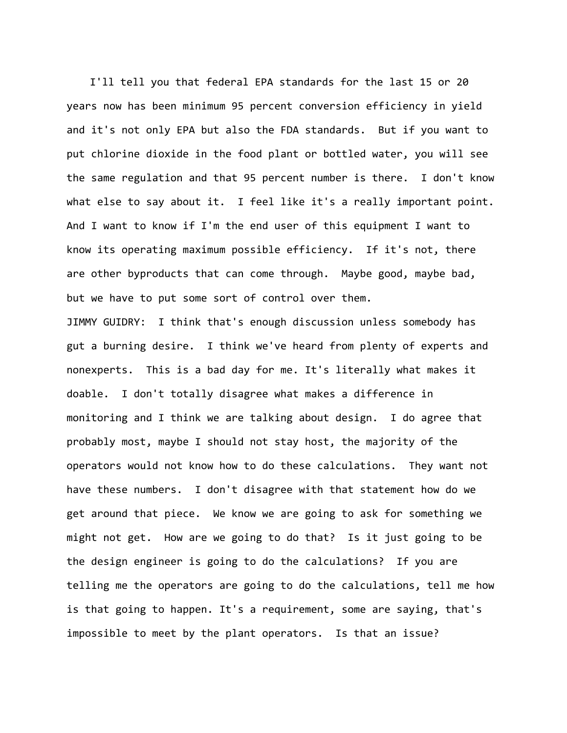I'll tell you that federal EPA standards for the last 15 or 20 years now has been minimum 95 percent conversion efficiency in yield and it's not only EPA but also the FDA standards. But if you want to put chlorine dioxide in the food plant or bottled water, you will see the same regulation and that 95 percent number is there. I don't know what else to say about it. I feel like it's a really important point. And I want to know if I'm the end user of this equipment I want to know its operating maximum possible efficiency. If it's not, there are other byproducts that can come through. Maybe good, maybe bad, but we have to put some sort of control over them.

JIMMY GUIDRY: I think that's enough discussion unless somebody has gut a burning desire. I think we've heard from plenty of experts and nonexperts. This is a bad day for me. It's literally what makes it doable. I don't totally disagree what makes a difference in monitoring and I think we are talking about design. I do agree that probably most, maybe I should not stay host, the majority of the operators would not know how to do these calculations. They want not have these numbers. I don't disagree with that statement how do we get around that piece. We know we are going to ask for something we might not get. How are we going to do that? Is it just going to be the design engineer is going to do the calculations? If you are telling me the operators are going to do the calculations, tell me how is that going to happen. It's a requirement, some are saying, that's impossible to meet by the plant operators. Is that an issue?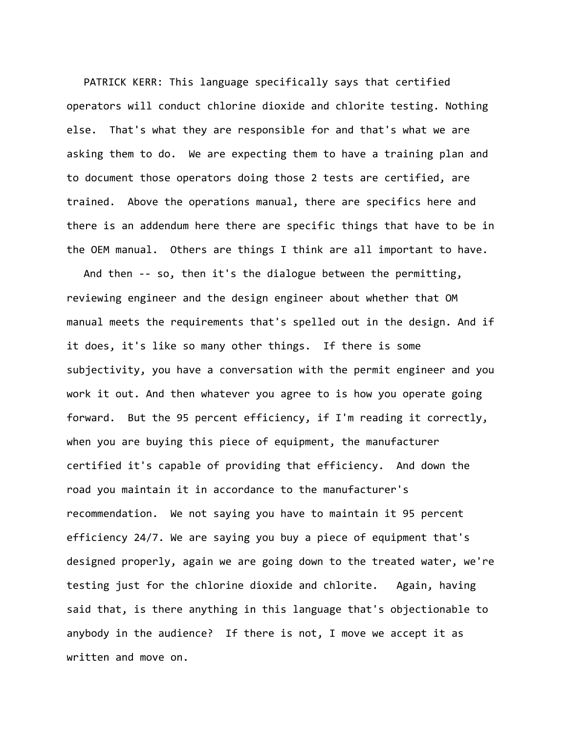PATRICK KERR: This language specifically says that certified operators will conduct chlorine dioxide and chlorite testing. Nothing else. That's what they are responsible for and that's what we are asking them to do. We are expecting them to have a training plan and to document those operators doing those 2 tests are certified, are trained. Above the operations manual, there are specifics here and there is an addendum here there are specific things that have to be in the OEM manual. Others are things I think are all important to have.

And then ‐‐ so, then it's the dialogue between the permitting, reviewing engineer and the design engineer about whether that OM manual meets the requirements that's spelled out in the design. And if it does, it's like so many other things. If there is some subjectivity, you have a conversation with the permit engineer and you work it out. And then whatever you agree to is how you operate going forward. But the 95 percent efficiency, if I'm reading it correctly, when you are buying this piece of equipment, the manufacturer certified it's capable of providing that efficiency. And down the road you maintain it in accordance to the manufacturer's recommendation. We not saying you have to maintain it 95 percent efficiency 24/7. We are saying you buy a piece of equipment that's designed properly, again we are going down to the treated water, we're testing just for the chlorine dioxide and chlorite. Again, having said that, is there anything in this language that's objectionable to anybody in the audience? If there is not, I move we accept it as written and move on.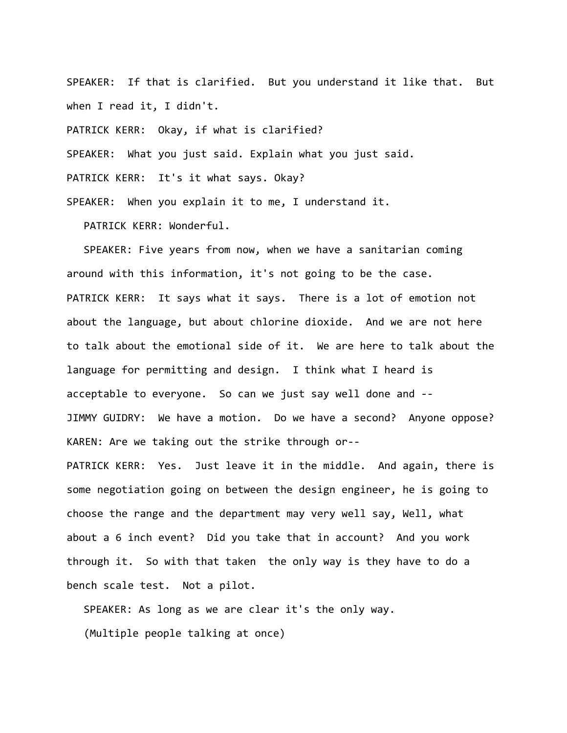SPEAKER: If that is clarified. But you understand it like that. But when I read it, I didn't.

PATRICK KERR: Okay, if what is clarified?

SPEAKER: What you just said. Explain what you just said.

PATRICK KERR: It's it what says. Okay?

SPEAKER: When you explain it to me, I understand it.

PATRICK KERR: Wonderful.

SPEAKER: Five years from now, when we have a sanitarian coming around with this information, it's not going to be the case. PATRICK KERR: It says what it says. There is a lot of emotion not about the language, but about chlorine dioxide. And we are not here to talk about the emotional side of it. We are here to talk about the language for permitting and design. I think what I heard is acceptable to everyone. So can we just say well done and ‐‐ JIMMY GUIDRY: We have a motion. Do we have a second? Anyone oppose? KAREN: Are we taking out the strike through or‐‐

PATRICK KERR: Yes. Just leave it in the middle. And again, there is some negotiation going on between the design engineer, he is going to choose the range and the department may very well say, Well, what about a 6 inch event? Did you take that in account? And you work through it. So with that taken the only way is they have to do a bench scale test. Not a pilot.

SPEAKER: As long as we are clear it's the only way. (Multiple people talking at once)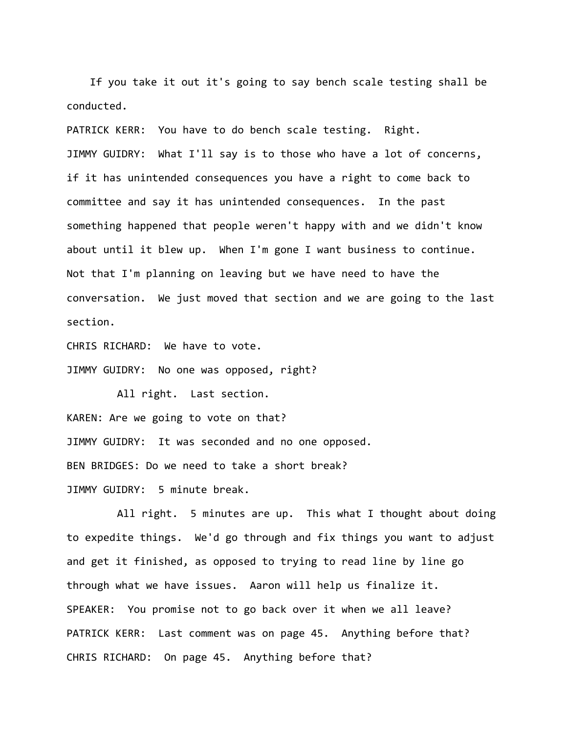If you take it out it's going to say bench scale testing shall be conducted.

PATRICK KERR: You have to do bench scale testing. Right. JIMMY GUIDRY: What I'll say is to those who have a lot of concerns, if it has unintended consequences you have a right to come back to committee and say it has unintended consequences. In the past something happened that people weren't happy with and we didn't know about until it blew up. When I'm gone I want business to continue. Not that I'm planning on leaving but we have need to have the conversation. We just moved that section and we are going to the last section.

CHRIS RICHARD: We have to vote.

JIMMY GUIDRY: No one was opposed, right?

All right. Last section. KAREN: Are we going to vote on that? JIMMY GUIDRY: It was seconded and no one opposed. BEN BRIDGES: Do we need to take a short break? JIMMY GUIDRY: 5 minute break.

All right. 5 minutes are up. This what I thought about doing to expedite things. We'd go through and fix things you want to adjust and get it finished, as opposed to trying to read line by line go through what we have issues. Aaron will help us finalize it. SPEAKER: You promise not to go back over it when we all leave? PATRICK KERR: Last comment was on page 45. Anything before that? CHRIS RICHARD: On page 45. Anything before that?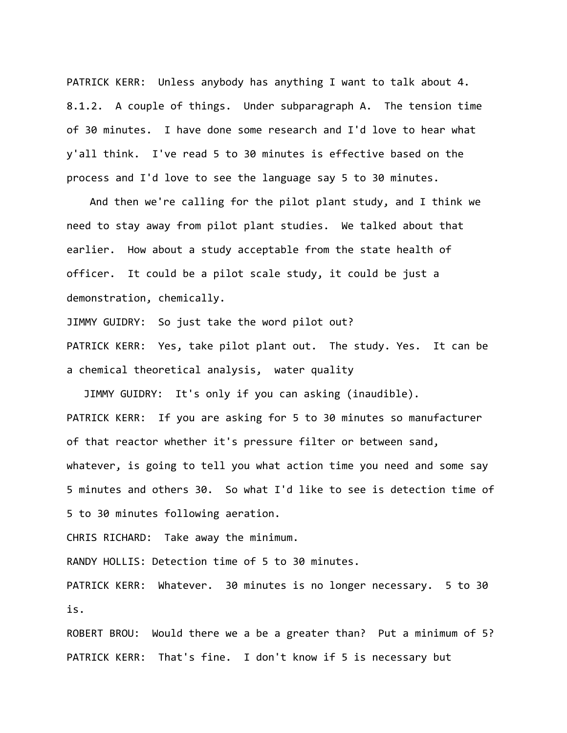PATRICK KERR: Unless anybody has anything I want to talk about 4. 8.1.2. A couple of things. Under subparagraph A. The tension time of 30 minutes. I have done some research and I'd love to hear what y'all think. I've read 5 to 30 minutes is effective based on the process and I'd love to see the language say 5 to 30 minutes.

And then we're calling for the pilot plant study, and I think we need to stay away from pilot plant studies. We talked about that earlier. How about a study acceptable from the state health of officer. It could be a pilot scale study, it could be just a demonstration, chemically.

JIMMY GUIDRY: So just take the word pilot out?

PATRICK KERR: Yes, take pilot plant out. The study. Yes. It can be a chemical theoretical analysis, water quality

JIMMY GUIDRY: It's only if you can asking (inaudible). PATRICK KERR: If you are asking for 5 to 30 minutes so manufacturer of that reactor whether it's pressure filter or between sand, whatever, is going to tell you what action time you need and some say 5 minutes and others 30. So what I'd like to see is detection time of 5 to 30 minutes following aeration.

CHRIS RICHARD: Take away the minimum.

RANDY HOLLIS: Detection time of 5 to 30 minutes.

PATRICK KERR: Whatever. 30 minutes is no longer necessary. 5 to 30 is.

ROBERT BROU: Would there we a be a greater than? Put a minimum of 5? PATRICK KERR: That's fine. I don't know if 5 is necessary but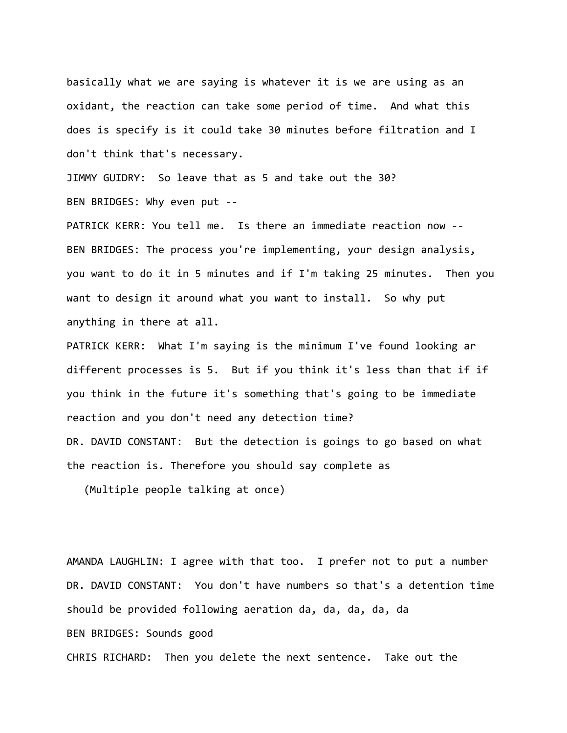basically what we are saying is whatever it is we are using as an oxidant, the reaction can take some period of time. And what this does is specify is it could take 30 minutes before filtration and I don't think that's necessary.

JIMMY GUIDRY: So leave that as 5 and take out the 30? BEN BRIDGES: Why even put ‐‐

PATRICK KERR: You tell me. Is there an immediate reaction now ‐‐ BEN BRIDGES: The process you're implementing, your design analysis, you want to do it in 5 minutes and if I'm taking 25 minutes. Then you want to design it around what you want to install. So why put anything in there at all.

PATRICK KERR: What I'm saying is the minimum I've found looking ar different processes is 5. But if you think it's less than that if if you think in the future it's something that's going to be immediate reaction and you don't need any detection time? DR. DAVID CONSTANT: But the detection is goings to go based on what the reaction is. Therefore you should say complete as

(Multiple people talking at once)

AMANDA LAUGHLIN: I agree with that too. I prefer not to put a number DR. DAVID CONSTANT: You don't have numbers so that's a detention time should be provided following aeration da, da, da, da, da BEN BRIDGES: Sounds good CHRIS RICHARD: Then you delete the next sentence. Take out the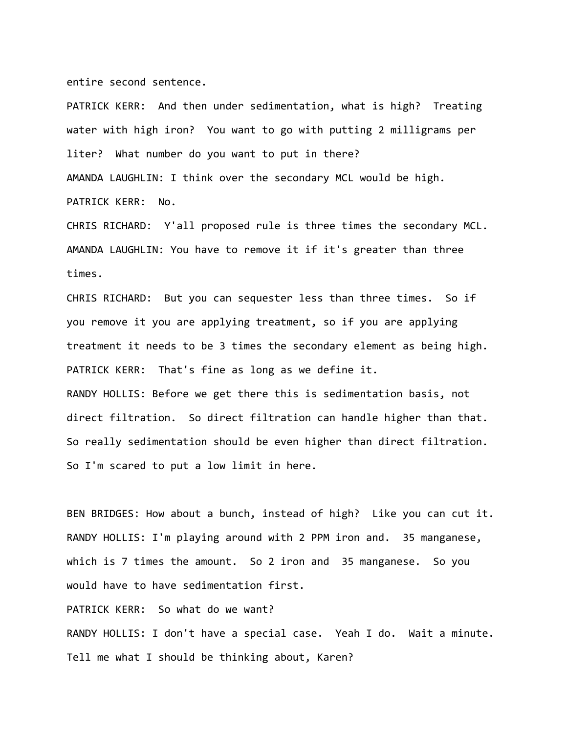entire second sentence.

PATRICK KERR: And then under sedimentation, what is high? Treating water with high iron? You want to go with putting 2 milligrams per liter? What number do you want to put in there? AMANDA LAUGHLIN: I think over the secondary MCL would be high. PATRICK KERR: No.

CHRIS RICHARD: Y'all proposed rule is three times the secondary MCL. AMANDA LAUGHLIN: You have to remove it if it's greater than three times.

CHRIS RICHARD: But you can sequester less than three times. So if you remove it you are applying treatment, so if you are applying treatment it needs to be 3 times the secondary element as being high. PATRICK KERR: That's fine as long as we define it. RANDY HOLLIS: Before we get there this is sedimentation basis, not direct filtration. So direct filtration can handle higher than that. So really sedimentation should be even higher than direct filtration. So I'm scared to put a low limit in here.

BEN BRIDGES: How about a bunch, instead of high? Like you can cut it. RANDY HOLLIS: I'm playing around with 2 PPM iron and. 35 manganese, which is 7 times the amount. So 2 iron and 35 manganese. So you would have to have sedimentation first.

PATRICK KERR: So what do we want?

RANDY HOLLIS: I don't have a special case. Yeah I do. Wait a minute. Tell me what I should be thinking about, Karen?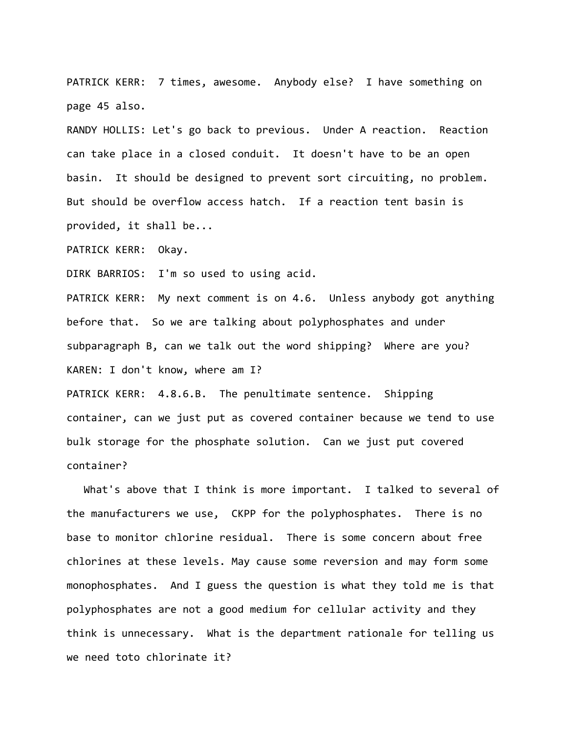PATRICK KERR: 7 times, awesome. Anybody else? I have something on page 45 also.

RANDY HOLLIS: Let's go back to previous. Under A reaction. Reaction can take place in a closed conduit. It doesn't have to be an open basin. It should be designed to prevent sort circuiting, no problem. But should be overflow access hatch. If a reaction tent basin is provided, it shall be...

PATRICK KERR: Okay.

DIRK BARRIOS: I'm so used to using acid.

PATRICK KERR: My next comment is on 4.6. Unless anybody got anything before that. So we are talking about polyphosphates and under subparagraph B, can we talk out the word shipping? Where are you? KAREN: I don't know, where am I?

PATRICK KERR: 4.8.6.B. The penultimate sentence. Shipping container, can we just put as covered container because we tend to use bulk storage for the phosphate solution. Can we just put covered container?

What's above that I think is more important. I talked to several of the manufacturers we use, CKPP for the polyphosphates. There is no base to monitor chlorine residual. There is some concern about free chlorines at these levels. May cause some reversion and may form some monophosphates. And I guess the question is what they told me is that polyphosphates are not a good medium for cellular activity and they think is unnecessary. What is the department rationale for telling us we need toto chlorinate it?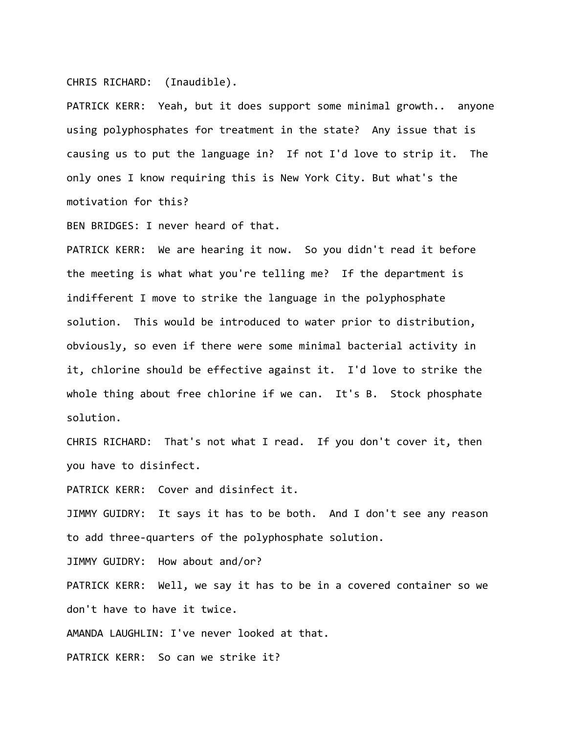## CHRIS RICHARD: (Inaudible).

PATRICK KERR: Yeah, but it does support some minimal growth.. anyone using polyphosphates for treatment in the state? Any issue that is causing us to put the language in? If not I'd love to strip it. The only ones I know requiring this is New York City. But what's the motivation for this?

BEN BRIDGES: I never heard of that.

PATRICK KERR: We are hearing it now. So you didn't read it before the meeting is what what you're telling me? If the department is indifferent I move to strike the language in the polyphosphate solution. This would be introduced to water prior to distribution, obviously, so even if there were some minimal bacterial activity in it, chlorine should be effective against it. I'd love to strike the whole thing about free chlorine if we can. It's B. Stock phosphate solution.

CHRIS RICHARD: That's not what I read. If you don't cover it, then you have to disinfect.

PATRICK KERR: Cover and disinfect it.

JIMMY GUIDRY: It says it has to be both. And I don't see any reason to add three‐quarters of the polyphosphate solution.

JIMMY GUIDRY: How about and/or?

PATRICK KERR: Well, we say it has to be in a covered container so we don't have to have it twice.

AMANDA LAUGHLIN: I've never looked at that.

PATRICK KERR: So can we strike it?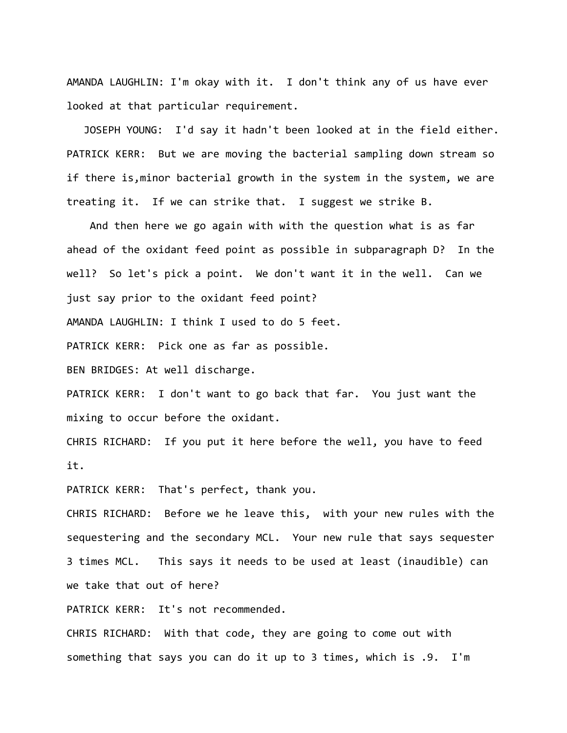AMANDA LAUGHLIN: I'm okay with it. I don't think any of us have ever looked at that particular requirement.

JOSEPH YOUNG: I'd say it hadn't been looked at in the field either. PATRICK KERR: But we are moving the bacterial sampling down stream so if there is,minor bacterial growth in the system in the system, we are treating it. If we can strike that. I suggest we strike B.

And then here we go again with with the question what is as far ahead of the oxidant feed point as possible in subparagraph D? In the well? So let's pick a point. We don't want it in the well. Can we just say prior to the oxidant feed point?

AMANDA LAUGHLIN: I think I used to do 5 feet.

PATRICK KERR: Pick one as far as possible.

BEN BRIDGES: At well discharge.

PATRICK KERR: I don't want to go back that far. You just want the mixing to occur before the oxidant.

CHRIS RICHARD: If you put it here before the well, you have to feed it.

PATRICK KERR: That's perfect, thank you.

CHRIS RICHARD: Before we he leave this, with your new rules with the sequestering and the secondary MCL. Your new rule that says sequester 3 times MCL. This says it needs to be used at least (inaudible) can we take that out of here?

PATRICK KERR: It's not recommended.

CHRIS RICHARD: With that code, they are going to come out with something that says you can do it up to 3 times, which is .9. I'm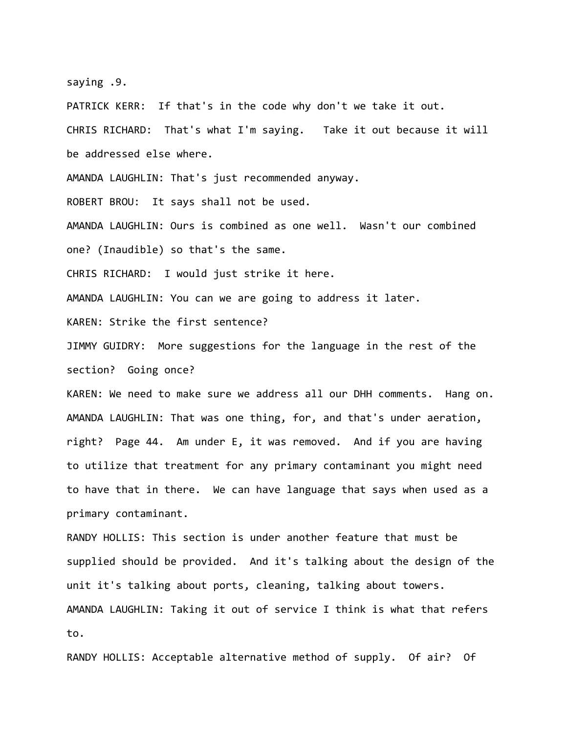saying .9.

PATRICK KERR: If that's in the code why don't we take it out. CHRIS RICHARD: That's what I'm saying. Take it out because it will be addressed else where.

AMANDA LAUGHLIN: That's just recommended anyway.

ROBERT BROU: It says shall not be used.

AMANDA LAUGHLIN: Ours is combined as one well. Wasn't our combined one? (Inaudible) so that's the same.

CHRIS RICHARD: I would just strike it here.

AMANDA LAUGHLIN: You can we are going to address it later.

KAREN: Strike the first sentence?

JIMMY GUIDRY: More suggestions for the language in the rest of the section? Going once?

KAREN: We need to make sure we address all our DHH comments. Hang on. AMANDA LAUGHLIN: That was one thing, for, and that's under aeration, right? Page 44. Am under E, it was removed. And if you are having to utilize that treatment for any primary contaminant you might need to have that in there. We can have language that says when used as a primary contaminant.

RANDY HOLLIS: This section is under another feature that must be supplied should be provided. And it's talking about the design of the unit it's talking about ports, cleaning, talking about towers. AMANDA LAUGHLIN: Taking it out of service I think is what that refers to.

RANDY HOLLIS: Acceptable alternative method of supply. Of air? Of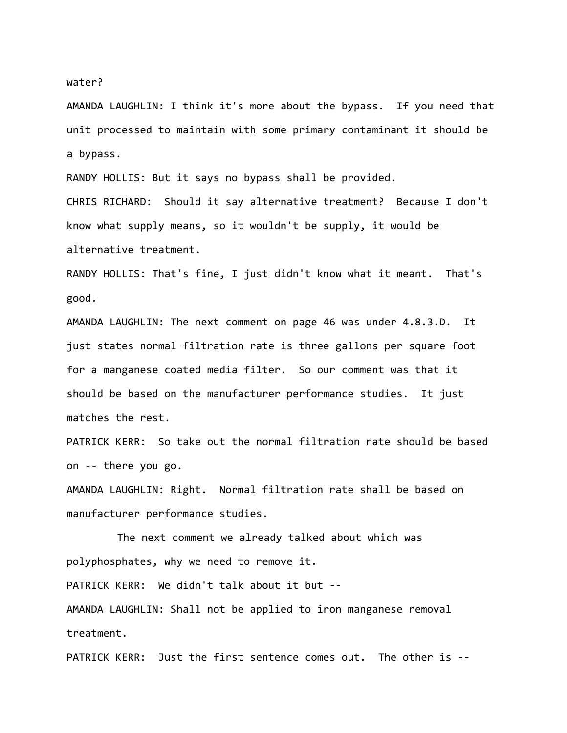## water?

AMANDA LAUGHLIN: I think it's more about the bypass. If you need that unit processed to maintain with some primary contaminant it should be a bypass.

RANDY HOLLIS: But it says no bypass shall be provided.

CHRIS RICHARD: Should it say alternative treatment? Because I don't know what supply means, so it wouldn't be supply, it would be alternative treatment.

RANDY HOLLIS: That's fine, I just didn't know what it meant. That's good.

AMANDA LAUGHLIN: The next comment on page 46 was under 4.8.3.D. It just states normal filtration rate is three gallons per square foot for a manganese coated media filter. So our comment was that it should be based on the manufacturer performance studies. It just matches the rest.

PATRICK KERR: So take out the normal filtration rate should be based on ‐‐ there you go.

AMANDA LAUGHLIN: Right. Normal filtration rate shall be based on manufacturer performance studies.

The next comment we already talked about which was polyphosphates, why we need to remove it.

PATRICK KERR: We didn't talk about it but ‐‐

AMANDA LAUGHLIN: Shall not be applied to iron manganese removal treatment.

PATRICK KERR: Just the first sentence comes out. The other is ‐‐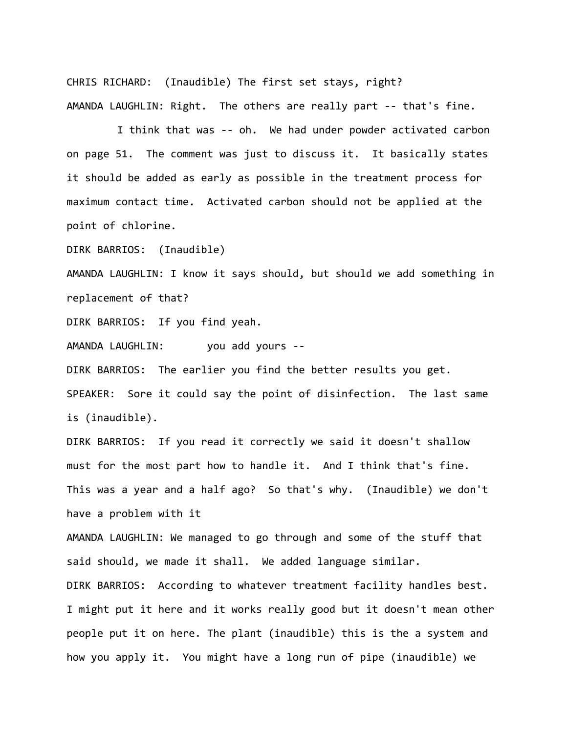CHRIS RICHARD: (Inaudible) The first set stays, right? AMANDA LAUGHLIN: Right. The others are really part ‐‐ that's fine.

I think that was ‐‐ oh. We had under powder activated carbon on page 51. The comment was just to discuss it. It basically states it should be added as early as possible in the treatment process for maximum contact time. Activated carbon should not be applied at the point of chlorine.

DIRK BARRIOS: (Inaudible)

AMANDA LAUGHLIN: I know it says should, but should we add something in replacement of that?

DIRK BARRIOS: If you find yeah.

AMANDA LAUGHLIN: you add yours --

DIRK BARRIOS: The earlier you find the better results you get. SPEAKER: Sore it could say the point of disinfection. The last same is (inaudible).

DIRK BARRIOS: If you read it correctly we said it doesn't shallow must for the most part how to handle it. And I think that's fine. This was a year and a half ago? So that's why. (Inaudible) we don't have a problem with it

AMANDA LAUGHLIN: We managed to go through and some of the stuff that said should, we made it shall. We added language similar.

DIRK BARRIOS: According to whatever treatment facility handles best. I might put it here and it works really good but it doesn't mean other people put it on here. The plant (inaudible) this is the a system and how you apply it. You might have a long run of pipe (inaudible) we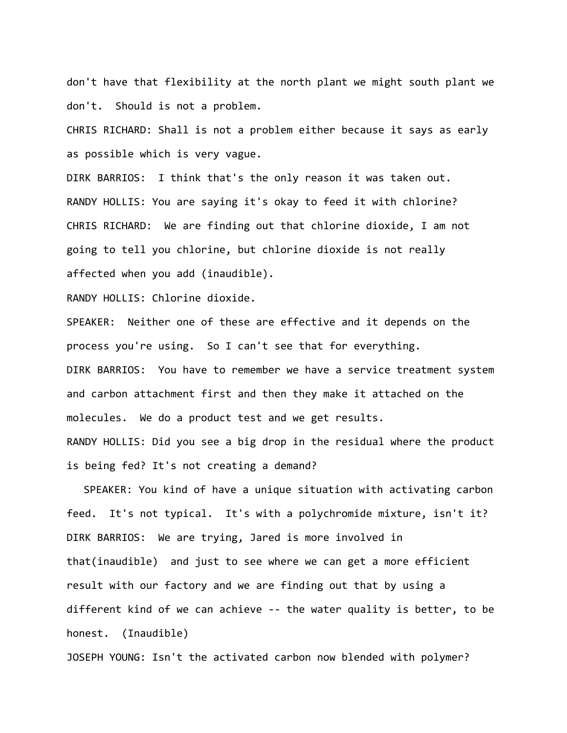don't have that flexibility at the north plant we might south plant we don't. Should is not a problem.

CHRIS RICHARD: Shall is not a problem either because it says as early as possible which is very vague.

DIRK BARRIOS: I think that's the only reason it was taken out. RANDY HOLLIS: You are saying it's okay to feed it with chlorine? CHRIS RICHARD: We are finding out that chlorine dioxide, I am not going to tell you chlorine, but chlorine dioxide is not really affected when you add (inaudible).

RANDY HOLLIS: Chlorine dioxide.

SPEAKER: Neither one of these are effective and it depends on the process you're using. So I can't see that for everything. DIRK BARRIOS: You have to remember we have a service treatment system and carbon attachment first and then they make it attached on the molecules. We do a product test and we get results. RANDY HOLLIS: Did you see a big drop in the residual where the product is being fed? It's not creating a demand?

SPEAKER: You kind of have a unique situation with activating carbon feed. It's not typical. It's with a polychromide mixture, isn't it? DIRK BARRIOS: We are trying, Jared is more involved in that(inaudible) and just to see where we can get a more efficient result with our factory and we are finding out that by using a different kind of we can achieve ‐‐ the water quality is better, to be honest. (Inaudible)

JOSEPH YOUNG: Isn't the activated carbon now blended with polymer?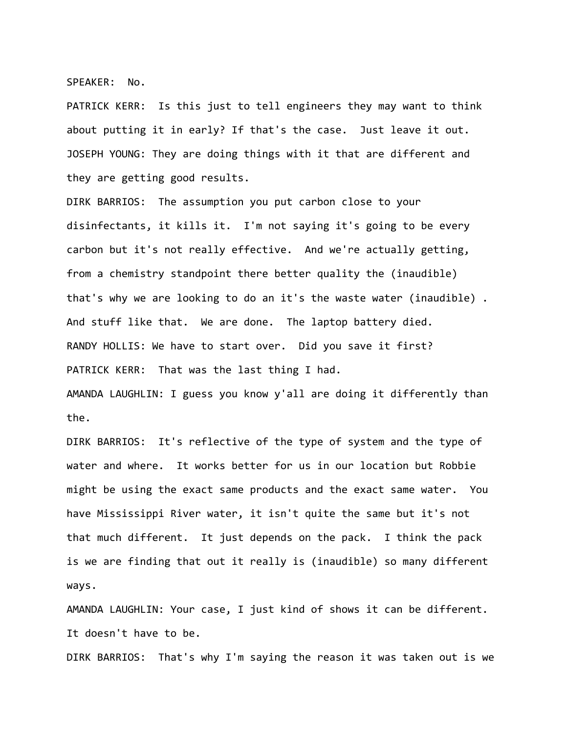SPEAKER: No.

PATRICK KERR: Is this just to tell engineers they may want to think about putting it in early? If that's the case. Just leave it out. JOSEPH YOUNG: They are doing things with it that are different and they are getting good results.

DIRK BARRIOS: The assumption you put carbon close to your disinfectants, it kills it. I'm not saying it's going to be every carbon but it's not really effective. And we're actually getting, from a chemistry standpoint there better quality the (inaudible) that's why we are looking to do an it's the waste water (inaudible) . And stuff like that. We are done. The laptop battery died. RANDY HOLLIS: We have to start over. Did you save it first? PATRICK KERR: That was the last thing I had.

AMANDA LAUGHLIN: I guess you know y'all are doing it differently than the.

DIRK BARRIOS: It's reflective of the type of system and the type of water and where. It works better for us in our location but Robbie might be using the exact same products and the exact same water. You have Mississippi River water, it isn't quite the same but it's not that much different. It just depends on the pack. I think the pack is we are finding that out it really is (inaudible) so many different ways.

AMANDA LAUGHLIN: Your case, I just kind of shows it can be different. It doesn't have to be.

DIRK BARRIOS: That's why I'm saying the reason it was taken out is we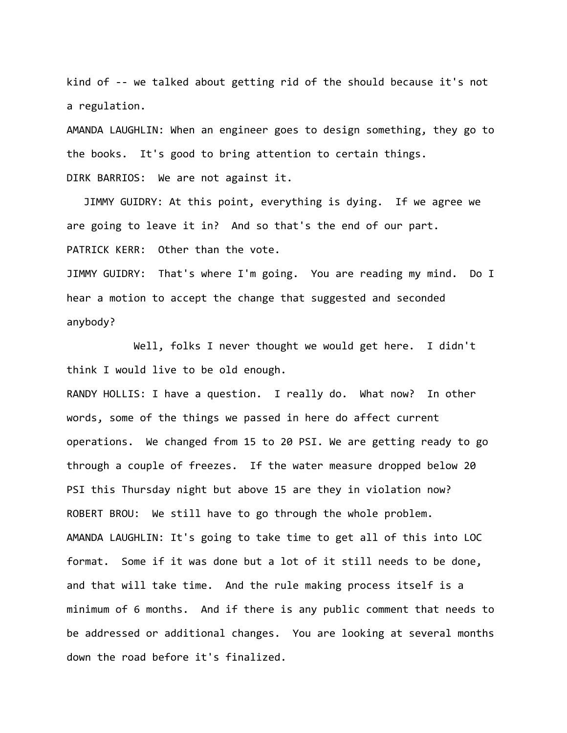kind of -- we talked about getting rid of the should because it's not a regulation.

AMANDA LAUGHLIN: When an engineer goes to design something, they go to the books. It's good to bring attention to certain things. DIRK BARRIOS: We are not against it.

JIMMY GUIDRY: At this point, everything is dying. If we agree we are going to leave it in? And so that's the end of our part. PATRICK KERR: Other than the vote.

JIMMY GUIDRY: That's where I'm going. You are reading my mind. Do I hear a motion to accept the change that suggested and seconded anybody?

Well, folks I never thought we would get here. I didn't think I would live to be old enough.

RANDY HOLLIS: I have a question. I really do. What now? In other words, some of the things we passed in here do affect current operations. We changed from 15 to 20 PSI. We are getting ready to go through a couple of freezes. If the water measure dropped below 20 PSI this Thursday night but above 15 are they in violation now? ROBERT BROU: We still have to go through the whole problem. AMANDA LAUGHLIN: It's going to take time to get all of this into LOC format. Some if it was done but a lot of it still needs to be done, and that will take time. And the rule making process itself is a minimum of 6 months. And if there is any public comment that needs to be addressed or additional changes. You are looking at several months down the road before it's finalized.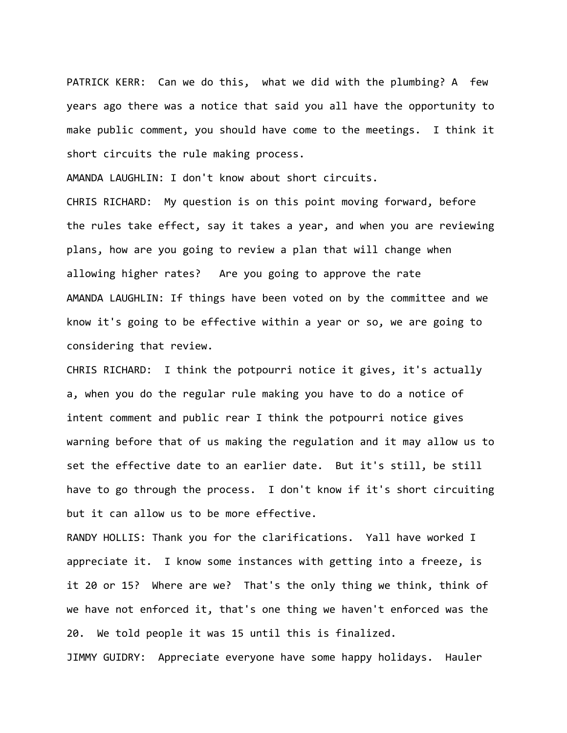PATRICK KERR: Can we do this, what we did with the plumbing? A few years ago there was a notice that said you all have the opportunity to make public comment, you should have come to the meetings. I think it short circuits the rule making process.

AMANDA LAUGHLIN: I don't know about short circuits.

CHRIS RICHARD: My question is on this point moving forward, before the rules take effect, say it takes a year, and when you are reviewing plans, how are you going to review a plan that will change when allowing higher rates? Are you going to approve the rate AMANDA LAUGHLIN: If things have been voted on by the committee and we know it's going to be effective within a year or so, we are going to considering that review.

CHRIS RICHARD: I think the potpourri notice it gives, it's actually a, when you do the regular rule making you have to do a notice of intent comment and public rear I think the potpourri notice gives warning before that of us making the regulation and it may allow us to set the effective date to an earlier date. But it's still, be still have to go through the process. I don't know if it's short circuiting but it can allow us to be more effective.

RANDY HOLLIS: Thank you for the clarifications. Yall have worked I appreciate it. I know some instances with getting into a freeze, is it 20 or 15? Where are we? That's the only thing we think, think of we have not enforced it, that's one thing we haven't enforced was the 20. We told people it was 15 until this is finalized.

JIMMY GUIDRY: Appreciate everyone have some happy holidays. Hauler